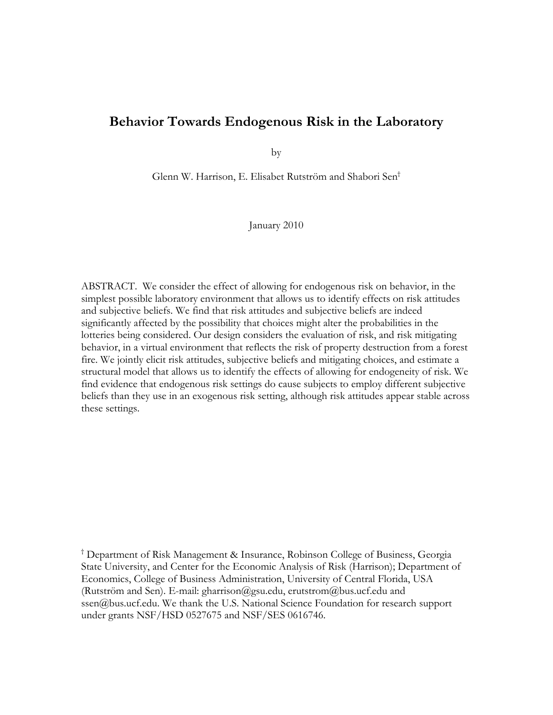# **Behavior Towards Endogenous Risk in the Laboratory**

by

Glenn W. Harrison, E. Elisabet Rutström and Shabori Sen†

January 2010

ABSTRACT. We consider the effect of allowing for endogenous risk on behavior, in the simplest possible laboratory environment that allows us to identify effects on risk attitudes and subjective beliefs. We find that risk attitudes and subjective beliefs are indeed significantly affected by the possibility that choices might alter the probabilities in the lotteries being considered. Our design considers the evaluation of risk, and risk mitigating behavior, in a virtual environment that reflects the risk of property destruction from a forest fire. We jointly elicit risk attitudes, subjective beliefs and mitigating choices, and estimate a structural model that allows us to identify the effects of allowing for endogeneity of risk. We find evidence that endogenous risk settings do cause subjects to employ different subjective beliefs than they use in an exogenous risk setting, although risk attitudes appear stable across these settings.

† Department of Risk Management & Insurance, Robinson College of Business, Georgia State University, and Center for the Economic Analysis of Risk (Harrison); Department of Economics, College of Business Administration, University of Central Florida, USA (Rutström and Sen). E-mail: gharrison@gsu.edu, erutstrom@bus.ucf.edu and ssen@bus.ucf.edu. We thank the U.S. National Science Foundation for research support under grants NSF/HSD 0527675 and NSF/SES 0616746.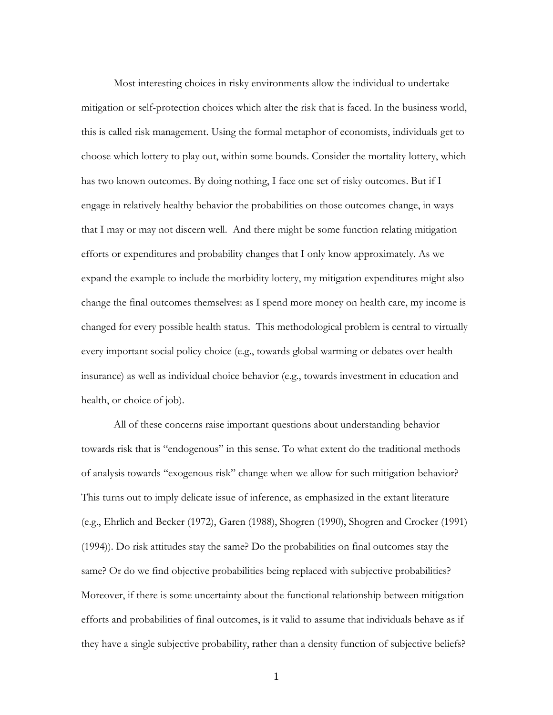Most interesting choices in risky environments allow the individual to undertake mitigation or self-protection choices which alter the risk that is faced. In the business world, this is called risk management. Using the formal metaphor of economists, individuals get to choose which lottery to play out, within some bounds. Consider the mortality lottery, which has two known outcomes. By doing nothing, I face one set of risky outcomes. But if I engage in relatively healthy behavior the probabilities on those outcomes change, in ways that I may or may not discern well. And there might be some function relating mitigation efforts or expenditures and probability changes that I only know approximately. As we expand the example to include the morbidity lottery, my mitigation expenditures might also change the final outcomes themselves: as I spend more money on health care, my income is changed for every possible health status. This methodological problem is central to virtually every important social policy choice (e.g., towards global warming or debates over health insurance) as well as individual choice behavior (e.g., towards investment in education and health, or choice of job).

 All of these concerns raise important questions about understanding behavior towards risk that is "endogenous" in this sense. To what extent do the traditional methods of analysis towards "exogenous risk" change when we allow for such mitigation behavior? This turns out to imply delicate issue of inference, as emphasized in the extant literature (e.g., Ehrlich and Becker (1972), Garen (1988), Shogren (1990), Shogren and Crocker (1991) (1994)). Do risk attitudes stay the same? Do the probabilities on final outcomes stay the same? Or do we find objective probabilities being replaced with subjective probabilities? Moreover, if there is some uncertainty about the functional relationship between mitigation efforts and probabilities of final outcomes, is it valid to assume that individuals behave as if they have a single subjective probability, rather than a density function of subjective beliefs?

1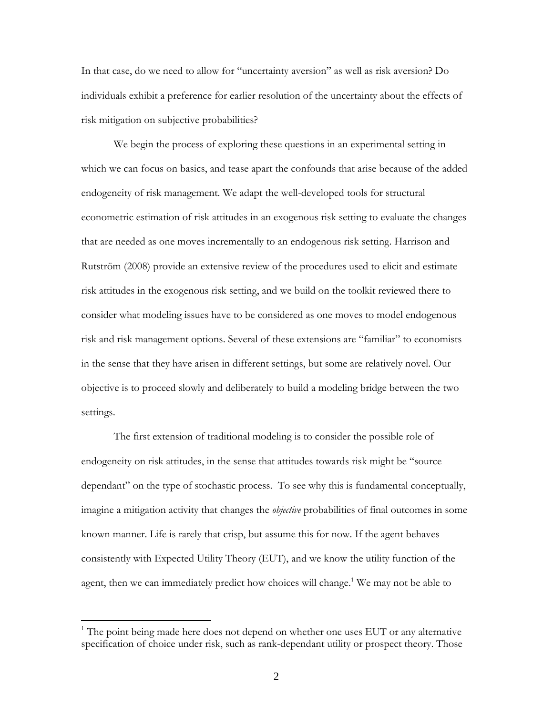In that case, do we need to allow for "uncertainty aversion" as well as risk aversion? Do individuals exhibit a preference for earlier resolution of the uncertainty about the effects of risk mitigation on subjective probabilities?

 We begin the process of exploring these questions in an experimental setting in which we can focus on basics, and tease apart the confounds that arise because of the added endogeneity of risk management. We adapt the well-developed tools for structural econometric estimation of risk attitudes in an exogenous risk setting to evaluate the changes that are needed as one moves incrementally to an endogenous risk setting. Harrison and Rutström (2008) provide an extensive review of the procedures used to elicit and estimate risk attitudes in the exogenous risk setting, and we build on the toolkit reviewed there to consider what modeling issues have to be considered as one moves to model endogenous risk and risk management options. Several of these extensions are "familiar" to economists in the sense that they have arisen in different settings, but some are relatively novel. Our objective is to proceed slowly and deliberately to build a modeling bridge between the two settings.

 The first extension of traditional modeling is to consider the possible role of endogeneity on risk attitudes, in the sense that attitudes towards risk might be "source dependant" on the type of stochastic process. To see why this is fundamental conceptually, imagine a mitigation activity that changes the *objective* probabilities of final outcomes in some known manner. Life is rarely that crisp, but assume this for now. If the agent behaves consistently with Expected Utility Theory (EUT), and we know the utility function of the agent, then we can immediately predict how choices will change.<sup>1</sup> We may not be able to

 $1$ <sup>1</sup> The point being made here does not depend on whether one uses EUT or any alternative specification of choice under risk, such as rank-dependant utility or prospect theory. Those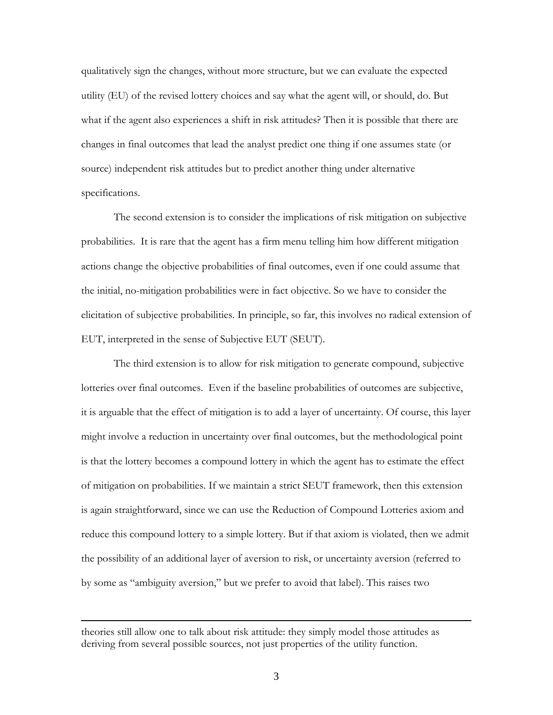qualitatively sign the changes, without more structure, but we can evaluate the expected utility (EU) of the revised lottery choices and say what the agent will, or should, do. But what if the agent also experiences a shift in risk attitudes? Then it is possible that there are changes in final outcomes that lead the analyst predict one thing if one assumes state (or source) independent risk attitudes but to predict another thing under alternative specifications.

 The second extension is to consider the implications of risk mitigation on subjective probabilities. It is rare that the agent has a firm menu telling him how different mitigation actions change the objective probabilities of final outcomes, even if one could assume that the initial, no-mitigation probabilities were in fact objective. So we have to consider the elicitation of subjective probabilities. In principle, so far, this involves no radical extension of EUT, interpreted in the sense of Subjective EUT (SEUT).

 The third extension is to allow for risk mitigation to generate compound, subjective lotteries over final outcomes. Even if the baseline probabilities of outcomes are subjective, it is arguable that the effect of mitigation is to add a layer of uncertainty. Of course, this layer might involve a reduction in uncertainty over final outcomes, but the methodological point is that the lottery becomes a compound lottery in which the agent has to estimate the effect of mitigation on probabilities. If we maintain a strict SEUT framework, then this extension is again straightforward, since we can use the Reduction of Compound Lotteries axiom and reduce this compound lottery to a simple lottery. But if that axiom is violated, then we admit the possibility of an additional layer of aversion to risk, or uncertainty aversion (referred to by some as "ambiguity aversion," but we prefer to avoid that label). This raises two

theories still allow one to talk about risk attitude: they simply model those attitudes as deriving from several possible sources, not just properties of the utility function.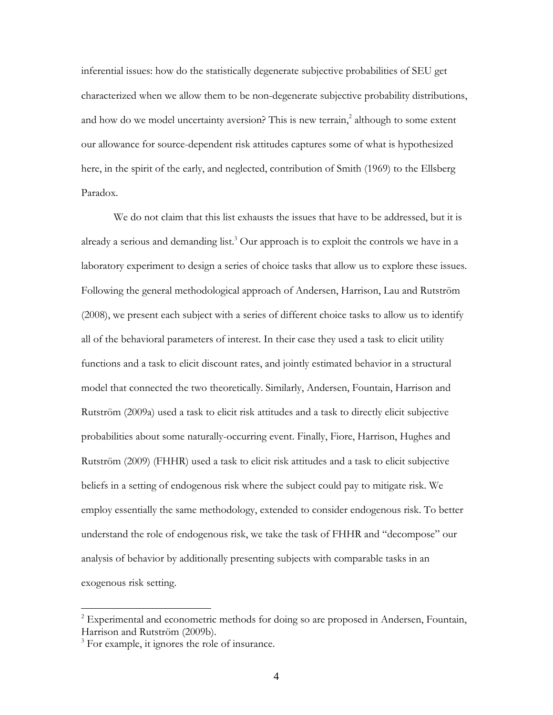inferential issues: how do the statistically degenerate subjective probabilities of SEU get characterized when we allow them to be non-degenerate subjective probability distributions, and how do we model uncertainty aversion? This is new terrain,<sup>2</sup> although to some extent our allowance for source-dependent risk attitudes captures some of what is hypothesized here, in the spirit of the early, and neglected, contribution of Smith (1969) to the Ellsberg Paradox.

 We do not claim that this list exhausts the issues that have to be addressed, but it is already a serious and demanding list.<sup>3</sup> Our approach is to exploit the controls we have in a laboratory experiment to design a series of choice tasks that allow us to explore these issues. Following the general methodological approach of Andersen, Harrison, Lau and Rutström (2008), we present each subject with a series of different choice tasks to allow us to identify all of the behavioral parameters of interest. In their case they used a task to elicit utility functions and a task to elicit discount rates, and jointly estimated behavior in a structural model that connected the two theoretically. Similarly, Andersen, Fountain, Harrison and Rutström (2009a) used a task to elicit risk attitudes and a task to directly elicit subjective probabilities about some naturally-occurring event. Finally, Fiore, Harrison, Hughes and Rutström (2009) (FHHR) used a task to elicit risk attitudes and a task to elicit subjective beliefs in a setting of endogenous risk where the subject could pay to mitigate risk. We employ essentially the same methodology, extended to consider endogenous risk. To better understand the role of endogenous risk, we take the task of FHHR and "decompose" our analysis of behavior by additionally presenting subjects with comparable tasks in an exogenous risk setting.

1

 $2^{2}$  Experimental and econometric methods for doing so are proposed in Andersen, Fountain, Harrison and Rutström (2009b).

<sup>&</sup>lt;sup>3</sup> For example, it ignores the role of insurance.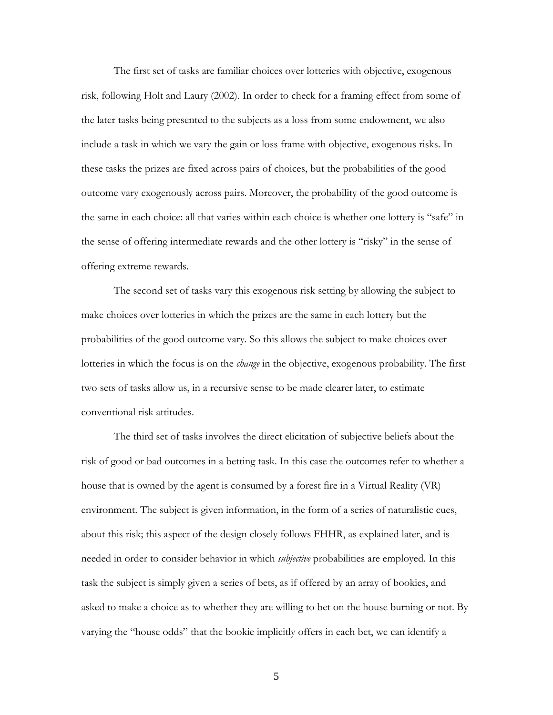The first set of tasks are familiar choices over lotteries with objective, exogenous risk, following Holt and Laury (2002). In order to check for a framing effect from some of the later tasks being presented to the subjects as a loss from some endowment, we also include a task in which we vary the gain or loss frame with objective, exogenous risks. In these tasks the prizes are fixed across pairs of choices, but the probabilities of the good outcome vary exogenously across pairs. Moreover, the probability of the good outcome is the same in each choice: all that varies within each choice is whether one lottery is "safe" in the sense of offering intermediate rewards and the other lottery is "risky" in the sense of offering extreme rewards.

 The second set of tasks vary this exogenous risk setting by allowing the subject to make choices over lotteries in which the prizes are the same in each lottery but the probabilities of the good outcome vary. So this allows the subject to make choices over lotteries in which the focus is on the *change* in the objective, exogenous probability. The first two sets of tasks allow us, in a recursive sense to be made clearer later, to estimate conventional risk attitudes.

 The third set of tasks involves the direct elicitation of subjective beliefs about the risk of good or bad outcomes in a betting task. In this case the outcomes refer to whether a house that is owned by the agent is consumed by a forest fire in a Virtual Reality (VR) environment. The subject is given information, in the form of a series of naturalistic cues, about this risk; this aspect of the design closely follows FHHR, as explained later, and is needed in order to consider behavior in which *subjective* probabilities are employed. In this task the subject is simply given a series of bets, as if offered by an array of bookies, and asked to make a choice as to whether they are willing to bet on the house burning or not. By varying the "house odds" that the bookie implicitly offers in each bet, we can identify a

5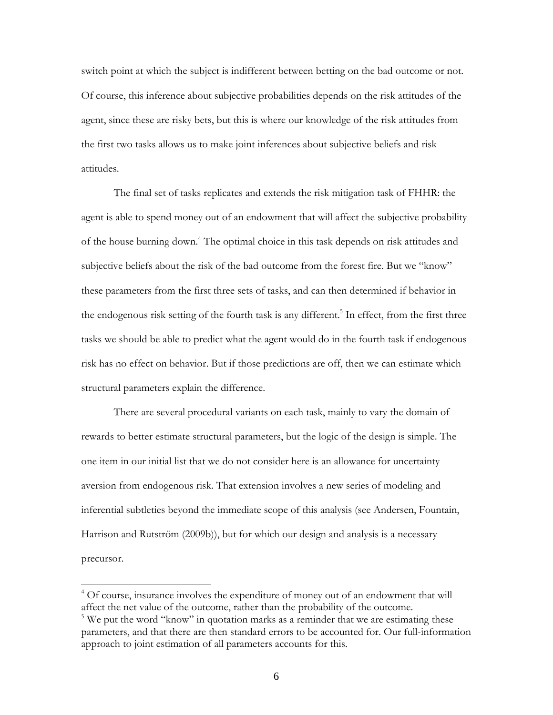switch point at which the subject is indifferent between betting on the bad outcome or not. Of course, this inference about subjective probabilities depends on the risk attitudes of the agent, since these are risky bets, but this is where our knowledge of the risk attitudes from the first two tasks allows us to make joint inferences about subjective beliefs and risk attitudes.

 The final set of tasks replicates and extends the risk mitigation task of FHHR: the agent is able to spend money out of an endowment that will affect the subjective probability of the house burning down.<sup>4</sup> The optimal choice in this task depends on risk attitudes and subjective beliefs about the risk of the bad outcome from the forest fire. But we "know" these parameters from the first three sets of tasks, and can then determined if behavior in the endogenous risk setting of the fourth task is any different.<sup>5</sup> In effect, from the first three tasks we should be able to predict what the agent would do in the fourth task if endogenous risk has no effect on behavior. But if those predictions are off, then we can estimate which structural parameters explain the difference.

 There are several procedural variants on each task, mainly to vary the domain of rewards to better estimate structural parameters, but the logic of the design is simple. The one item in our initial list that we do not consider here is an allowance for uncertainty aversion from endogenous risk. That extension involves a new series of modeling and inferential subtleties beyond the immediate scope of this analysis (see Andersen, Fountain, Harrison and Rutström (2009b)), but for which our design and analysis is a necessary precursor.

<sup>&</sup>lt;sup>4</sup> Of course, insurance involves the expenditure of money out of an endowment that will affect the net value of the outcome, rather than the probability of the outcome.

<sup>&</sup>lt;sup>5</sup>We put the word "know" in quotation marks as a reminder that we are estimating these parameters, and that there are then standard errors to be accounted for. Our full-information approach to joint estimation of all parameters accounts for this.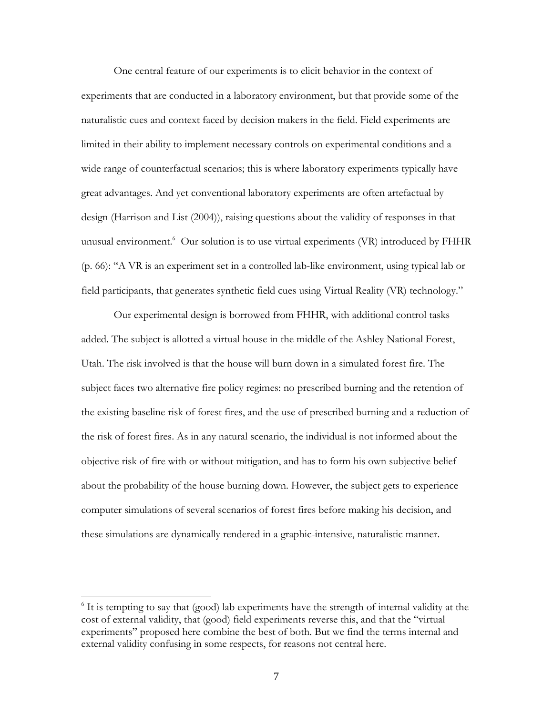One central feature of our experiments is to elicit behavior in the context of experiments that are conducted in a laboratory environment, but that provide some of the naturalistic cues and context faced by decision makers in the field. Field experiments are limited in their ability to implement necessary controls on experimental conditions and a wide range of counterfactual scenarios; this is where laboratory experiments typically have great advantages. And yet conventional laboratory experiments are often artefactual by design (Harrison and List (2004)), raising questions about the validity of responses in that unusual environment.<sup>6</sup> Our solution is to use virtual experiments (VR) introduced by FHHR (p. 66): "A VR is an experiment set in a controlled lab-like environment, using typical lab or field participants, that generates synthetic field cues using Virtual Reality (VR) technology."

Our experimental design is borrowed from FHHR, with additional control tasks added. The subject is allotted a virtual house in the middle of the Ashley National Forest, Utah. The risk involved is that the house will burn down in a simulated forest fire. The subject faces two alternative fire policy regimes: no prescribed burning and the retention of the existing baseline risk of forest fires, and the use of prescribed burning and a reduction of the risk of forest fires. As in any natural scenario, the individual is not informed about the objective risk of fire with or without mitigation, and has to form his own subjective belief about the probability of the house burning down. However, the subject gets to experience computer simulations of several scenarios of forest fires before making his decision, and these simulations are dynamically rendered in a graphic-intensive, naturalistic manner.

1

<sup>&</sup>lt;sup>6</sup> It is tempting to say that (good) lab experiments have the strength of internal validity at the cost of external validity, that (good) field experiments reverse this, and that the "virtual experiments" proposed here combine the best of both. But we find the terms internal and external validity confusing in some respects, for reasons not central here.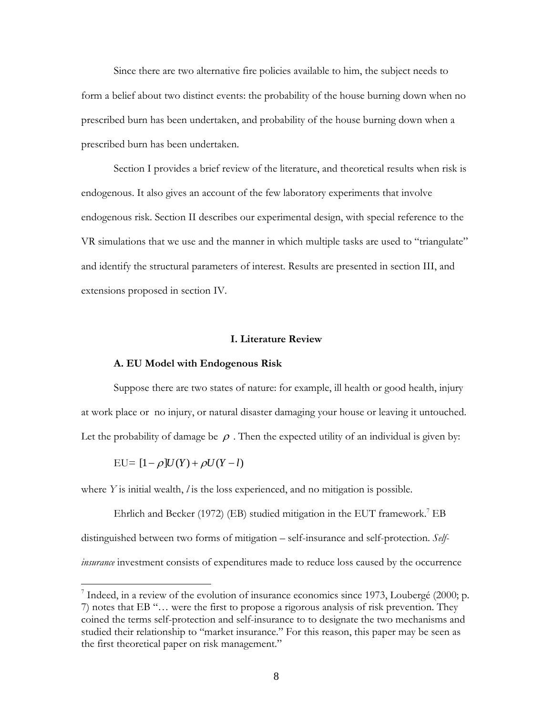Since there are two alternative fire policies available to him, the subject needs to form a belief about two distinct events: the probability of the house burning down when no prescribed burn has been undertaken, and probability of the house burning down when a prescribed burn has been undertaken.

Section I provides a brief review of the literature, and theoretical results when risk is endogenous. It also gives an account of the few laboratory experiments that involve endogenous risk. Section II describes our experimental design, with special reference to the VR simulations that we use and the manner in which multiple tasks are used to "triangulate" and identify the structural parameters of interest. Results are presented in section III, and extensions proposed in section IV.

## **I. Literature Review**

### **A. EU Model with Endogenous Risk**

Suppose there are two states of nature: for example, ill health or good health, injury at work place or no injury, or natural disaster damaging your house or leaving it untouched. Let the probability of damage be  $\rho$ . Then the expected utility of an individual is given by:

$$
EU = [1 - \rho]U(Y) + \rho U(Y - l)
$$

 $\overline{a}$ 

where *Y* is initial wealth, *l* is the loss experienced, and no mitigation is possible.

Ehrlich and Becker (1972) (EB) studied mitigation in the EUT framework.<sup>7</sup> EB distinguished between two forms of mitigation – self-insurance and self-protection. *Selfinsurance* investment consists of expenditures made to reduce loss caused by the occurrence

 $^7$  Indeed, in a review of the evolution of insurance economics since 1973, Loubergé (2000; p. 7) notes that EB "… were the first to propose a rigorous analysis of risk prevention. They coined the terms self-protection and self-insurance to to designate the two mechanisms and studied their relationship to "market insurance." For this reason, this paper may be seen as the first theoretical paper on risk management."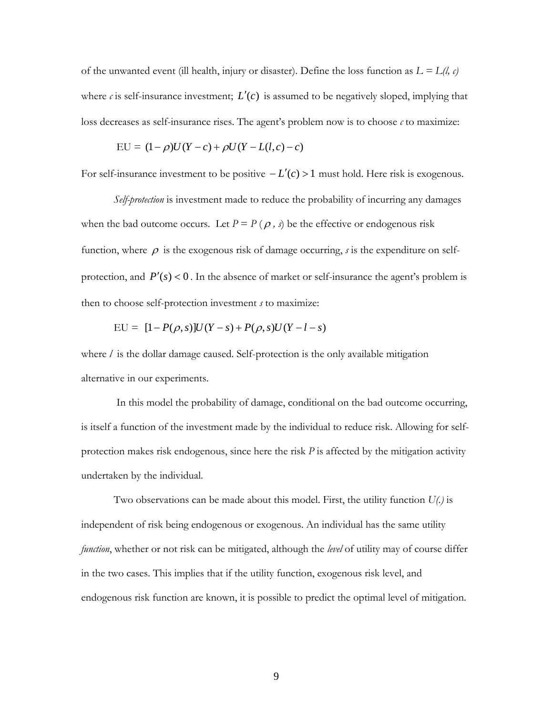of the unwanted event (ill health, injury or disaster). Define the loss function as  $L = L(l, c)$ where  $c$  is self-insurance investment;  $L'(c)$  is assumed to be negatively sloped, implying that loss decreases as self-insurance rises. The agent's problem now is to choose *c* to maximize:

$$
EU = (1 - \rho)U(Y - c) + \rho U(Y - L(l, c) - c)
$$

For self-insurance investment to be positive  $-L'(c) > 1$  must hold. Here risk is exogenous.

*Self-protection* is investment made to reduce the probability of incurring any damages when the bad outcome occurs. Let  $P = P(\rho, s)$  be the effective or endogenous risk function, where  $\rho$  is the exogenous risk of damage occurring, *s* is the expenditure on selfprotection, and  $P'(s) < 0$ . In the absence of market or self-insurance the agent's problem is then to choose self-protection investment *s* to maximize:

$$
EU = [1 - P(\rho, s)]U(Y - s) + P(\rho, s)U(Y - l - s)
$$

where *l* is the dollar damage caused. Self-protection is the only available mitigation alternative in our experiments.

In this model the probability of damage, conditional on the bad outcome occurring, is itself a function of the investment made by the individual to reduce risk. Allowing for selfprotection makes risk endogenous, since here the risk *P* is affected by the mitigation activity undertaken by the individual.

Two observations can be made about this model. First, the utility function *U(.)* is independent of risk being endogenous or exogenous. An individual has the same utility *function*, whether or not risk can be mitigated, although the *level* of utility may of course differ in the two cases. This implies that if the utility function, exogenous risk level, and endogenous risk function are known, it is possible to predict the optimal level of mitigation.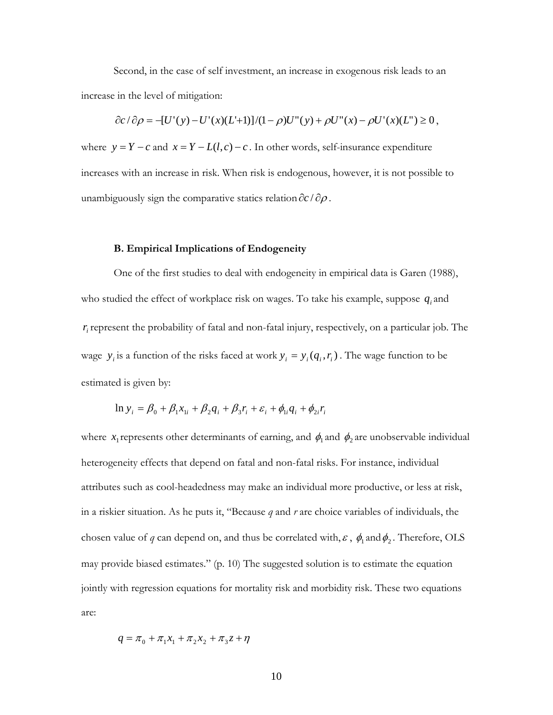Second, in the case of self investment, an increase in exogenous risk leads to an increase in the level of mitigation:

$$
\frac{\partial c}{\partial \rho} = -[U'(y) - U'(x)(L+1)]/(1 - \rho)U''(y) + \rho U''(x) - \rho U'(x)(L'') \ge 0,
$$

where  $y = Y - c$  and  $x = Y - L(l, c) - c$ . In other words, self-insurance expenditure increases with an increase in risk. When risk is endogenous, however, it is not possible to unambiguously sign the comparative statics relation  $\partial c / \partial \rho$ .

## **B. Empirical Implications of Endogeneity**

One of the first studies to deal with endogeneity in empirical data is Garen (1988), who studied the effect of workplace risk on wages. To take his example, suppose  $q_i$  and  $r_i$  represent the probability of fatal and non-fatal injury, respectively, on a particular job. The wage  $y_i$  is a function of the risks faced at work  $y_i = y_i(q_i, r_i)$ . The wage function to be estimated is given by:

$$
\ln y_i = \beta_0 + \beta_1 x_{1i} + \beta_2 q_i + \beta_3 r_i + \varepsilon_i + \phi_{1i} q_i + \phi_{2i} r_i
$$

where  $x_1$  represents other determinants of earning, and  $\phi_1$  and  $\phi_2$  are unobservable individual heterogeneity effects that depend on fatal and non-fatal risks. For instance, individual attributes such as cool-headedness may make an individual more productive, or less at risk, in a riskier situation. As he puts it, "Because *q* and *r* are choice variables of individuals, the chosen value of *q* can depend on, and thus be correlated with,  $\varepsilon$ ,  $\phi_1$  and  $\phi_2$ . Therefore, OLS may provide biased estimates." (p. 10) The suggested solution is to estimate the equation jointly with regression equations for mortality risk and morbidity risk. These two equations are:

$$
q = \pi_0 + \pi_1 x_1 + \pi_2 x_2 + \pi_3 z + \eta
$$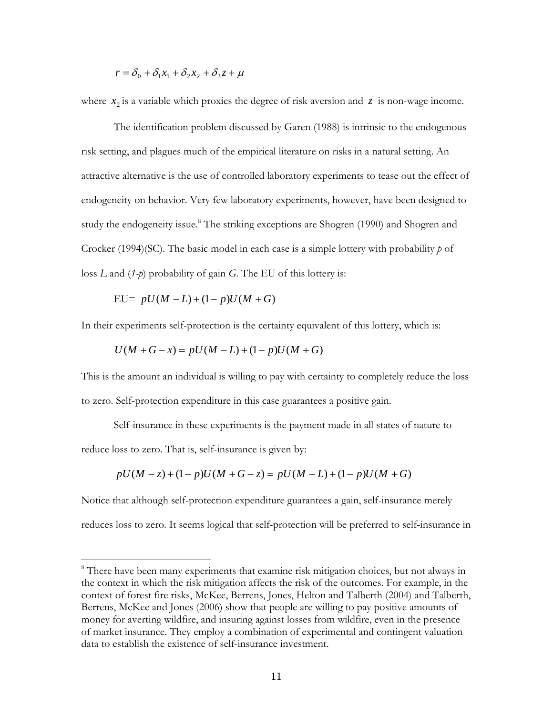$$
r = \delta_0 + \delta_1 x_1 + \delta_2 x_2 + \delta_3 z + \mu
$$

where  $x_2$  is a variable which proxies the degree of risk aversion and  $z$  is non-wage income.

The identification problem discussed by Garen (1988) is intrinsic to the endogenous risk setting, and plagues much of the empirical literature on risks in a natural setting. An attractive alternative is the use of controlled laboratory experiments to tease out the effect of endogeneity on behavior. Very few laboratory experiments, however, have been designed to study the endogeneity issue.<sup>8</sup> The striking exceptions are Shogren (1990) and Shogren and Crocker (1994)(SC). The basic model in each case is a simple lottery with probability *p* of loss *L* and (*1-p*) probability of gain *G*. The EU of this lottery is:

$$
EU= pU(M-L)+(1-p)U(M+G)
$$

 $\overline{a}$ 

In their experiments self-protection is the certainty equivalent of this lottery, which is:

$$
U(M+G-x) = pU(M-L) + (1-p)U(M+G)
$$

This is the amount an individual is willing to pay with certainty to completely reduce the loss to zero. Self-protection expenditure in this case guarantees a positive gain.

Self-insurance in these experiments is the payment made in all states of nature to reduce loss to zero. That is, self-insurance is given by:

$$
pU(M-z) + (1-p)U(M+G-z) = pU(M-L) + (1-p)U(M+G)
$$

Notice that although self-protection expenditure guarantees a gain, self-insurance merely reduces loss to zero. It seems logical that self-protection will be preferred to self-insurance in

<sup>&</sup>lt;sup>8</sup> There have been many experiments that examine risk mitigation choices, but not always in the context in which the risk mitigation affects the risk of the outcomes. For example, in the context of forest fire risks, McKee, Berrens, Jones, Helton and Talberth (2004) and Talberth, Berrens, McKee and Jones (2006) show that people are willing to pay positive amounts of money for averting wildfire, and insuring against losses from wildfire, even in the presence of market insurance. They employ a combination of experimental and contingent valuation data to establish the existence of self-insurance investment.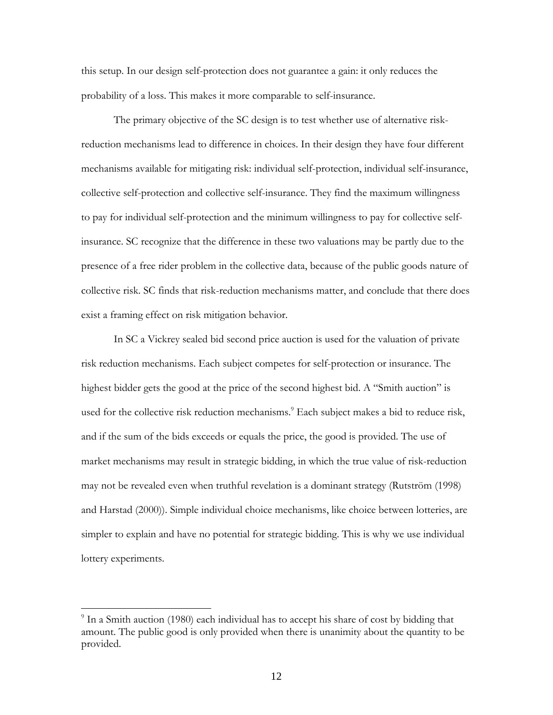this setup. In our design self-protection does not guarantee a gain: it only reduces the probability of a loss. This makes it more comparable to self-insurance.

The primary objective of the SC design is to test whether use of alternative riskreduction mechanisms lead to difference in choices. In their design they have four different mechanisms available for mitigating risk: individual self-protection, individual self-insurance, collective self-protection and collective self-insurance. They find the maximum willingness to pay for individual self-protection and the minimum willingness to pay for collective selfinsurance. SC recognize that the difference in these two valuations may be partly due to the presence of a free rider problem in the collective data, because of the public goods nature of collective risk. SC finds that risk-reduction mechanisms matter, and conclude that there does exist a framing effect on risk mitigation behavior.

In SC a Vickrey sealed bid second price auction is used for the valuation of private risk reduction mechanisms. Each subject competes for self-protection or insurance. The highest bidder gets the good at the price of the second highest bid. A "Smith auction" is used for the collective risk reduction mechanisms.<sup>9</sup> Each subject makes a bid to reduce risk, and if the sum of the bids exceeds or equals the price, the good is provided. The use of market mechanisms may result in strategic bidding, in which the true value of risk-reduction may not be revealed even when truthful revelation is a dominant strategy (Rutström (1998) and Harstad (2000)). Simple individual choice mechanisms, like choice between lotteries, are simpler to explain and have no potential for strategic bidding. This is why we use individual lottery experiments.

<sup>&</sup>lt;sup>9</sup> In a Smith auction (1980) each individual has to accept his share of cost by bidding that amount. The public good is only provided when there is unanimity about the quantity to be provided.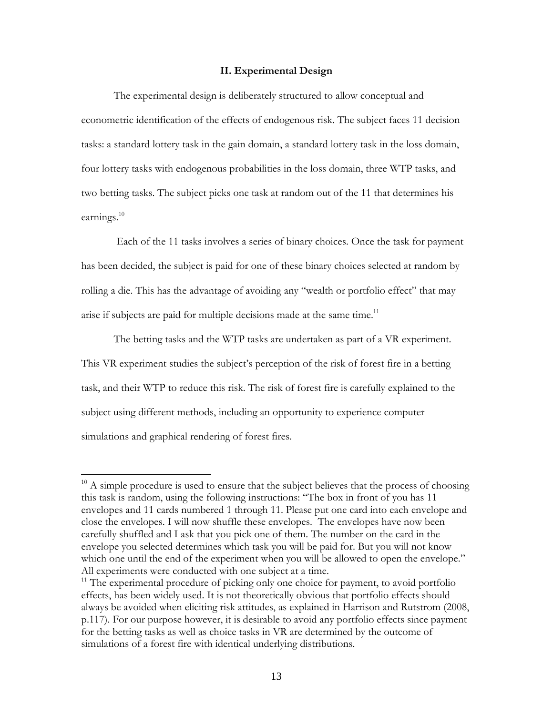### **II. Experimental Design**

The experimental design is deliberately structured to allow conceptual and econometric identification of the effects of endogenous risk. The subject faces 11 decision tasks: a standard lottery task in the gain domain, a standard lottery task in the loss domain, four lottery tasks with endogenous probabilities in the loss domain, three WTP tasks, and two betting tasks. The subject picks one task at random out of the 11 that determines his earnings. $^{10}$ 

 Each of the 11 tasks involves a series of binary choices. Once the task for payment has been decided, the subject is paid for one of these binary choices selected at random by rolling a die. This has the advantage of avoiding any "wealth or portfolio effect" that may arise if subjects are paid for multiple decisions made at the same time.<sup>11</sup>

The betting tasks and the WTP tasks are undertaken as part of a VR experiment. This VR experiment studies the subject's perception of the risk of forest fire in a betting task, and their WTP to reduce this risk. The risk of forest fire is carefully explained to the subject using different methods, including an opportunity to experience computer simulations and graphical rendering of forest fires.

 $10$  A simple procedure is used to ensure that the subject believes that the process of choosing this task is random, using the following instructions: "The box in front of you has 11 envelopes and 11 cards numbered 1 through 11. Please put one card into each envelope and close the envelopes. I will now shuffle these envelopes. The envelopes have now been carefully shuffled and I ask that you pick one of them. The number on the card in the envelope you selected determines which task you will be paid for. But you will not know which one until the end of the experiment when you will be allowed to open the envelope." All experiments were conducted with one subject at a time.

<sup>&</sup>lt;sup>11</sup> The experimental procedure of picking only one choice for payment, to avoid portfolio effects, has been widely used. It is not theoretically obvious that portfolio effects should always be avoided when eliciting risk attitudes, as explained in Harrison and Rutstrom (2008, p.117). For our purpose however, it is desirable to avoid any portfolio effects since payment for the betting tasks as well as choice tasks in VR are determined by the outcome of simulations of a forest fire with identical underlying distributions.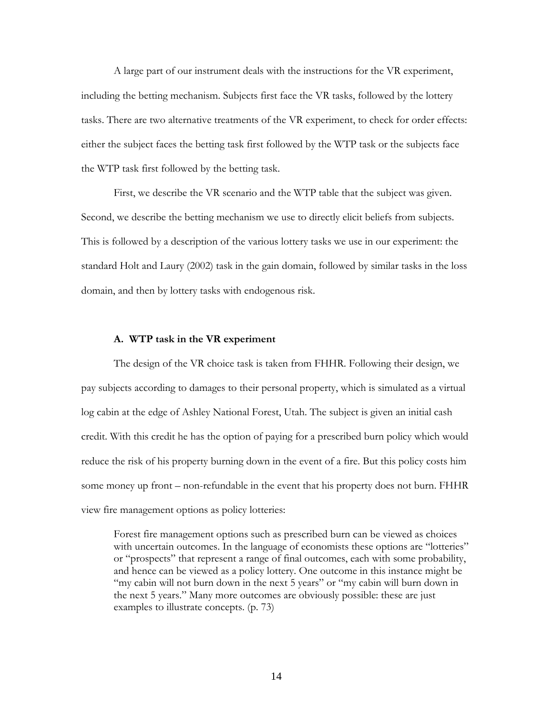A large part of our instrument deals with the instructions for the VR experiment, including the betting mechanism. Subjects first face the VR tasks, followed by the lottery tasks. There are two alternative treatments of the VR experiment, to check for order effects: either the subject faces the betting task first followed by the WTP task or the subjects face the WTP task first followed by the betting task.

First, we describe the VR scenario and the WTP table that the subject was given. Second, we describe the betting mechanism we use to directly elicit beliefs from subjects. This is followed by a description of the various lottery tasks we use in our experiment: the standard Holt and Laury (2002) task in the gain domain, followed by similar tasks in the loss domain, and then by lottery tasks with endogenous risk.

#### **A. WTP task in the VR experiment**

The design of the VR choice task is taken from FHHR. Following their design, we pay subjects according to damages to their personal property, which is simulated as a virtual log cabin at the edge of Ashley National Forest, Utah. The subject is given an initial cash credit. With this credit he has the option of paying for a prescribed burn policy which would reduce the risk of his property burning down in the event of a fire. But this policy costs him some money up front – non-refundable in the event that his property does not burn. FHHR view fire management options as policy lotteries:

Forest fire management options such as prescribed burn can be viewed as choices with uncertain outcomes. In the language of economists these options are "lotteries" or "prospects" that represent a range of final outcomes, each with some probability, and hence can be viewed as a policy lottery. One outcome in this instance might be "my cabin will not burn down in the next 5 years" or "my cabin will burn down in the next 5 years." Many more outcomes are obviously possible: these are just examples to illustrate concepts. (p. 73)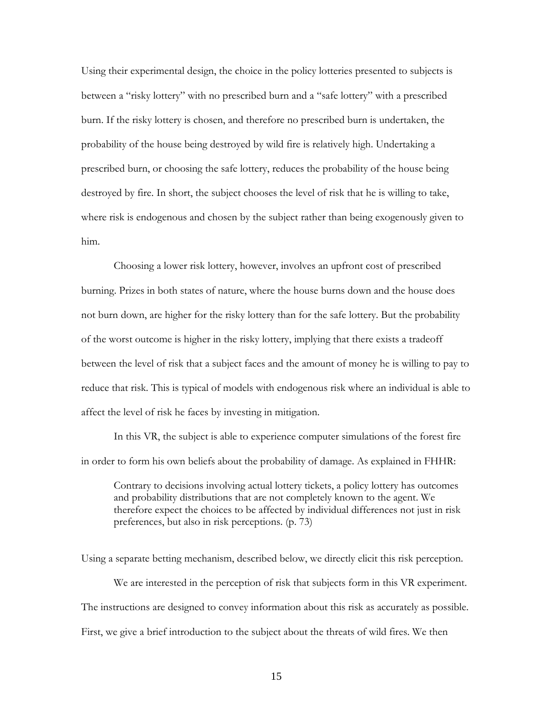Using their experimental design, the choice in the policy lotteries presented to subjects is between a "risky lottery" with no prescribed burn and a "safe lottery" with a prescribed burn. If the risky lottery is chosen, and therefore no prescribed burn is undertaken, the probability of the house being destroyed by wild fire is relatively high. Undertaking a prescribed burn, or choosing the safe lottery, reduces the probability of the house being destroyed by fire. In short, the subject chooses the level of risk that he is willing to take, where risk is endogenous and chosen by the subject rather than being exogenously given to him.

Choosing a lower risk lottery, however, involves an upfront cost of prescribed burning. Prizes in both states of nature, where the house burns down and the house does not burn down, are higher for the risky lottery than for the safe lottery. But the probability of the worst outcome is higher in the risky lottery, implying that there exists a tradeoff between the level of risk that a subject faces and the amount of money he is willing to pay to reduce that risk. This is typical of models with endogenous risk where an individual is able to affect the level of risk he faces by investing in mitigation.

In this VR, the subject is able to experience computer simulations of the forest fire in order to form his own beliefs about the probability of damage. As explained in FHHR:

Contrary to decisions involving actual lottery tickets, a policy lottery has outcomes and probability distributions that are not completely known to the agent. We therefore expect the choices to be affected by individual differences not just in risk preferences, but also in risk perceptions. (p. 73)

Using a separate betting mechanism, described below, we directly elicit this risk perception. We are interested in the perception of risk that subjects form in this VR experiment. The instructions are designed to convey information about this risk as accurately as possible. First, we give a brief introduction to the subject about the threats of wild fires. We then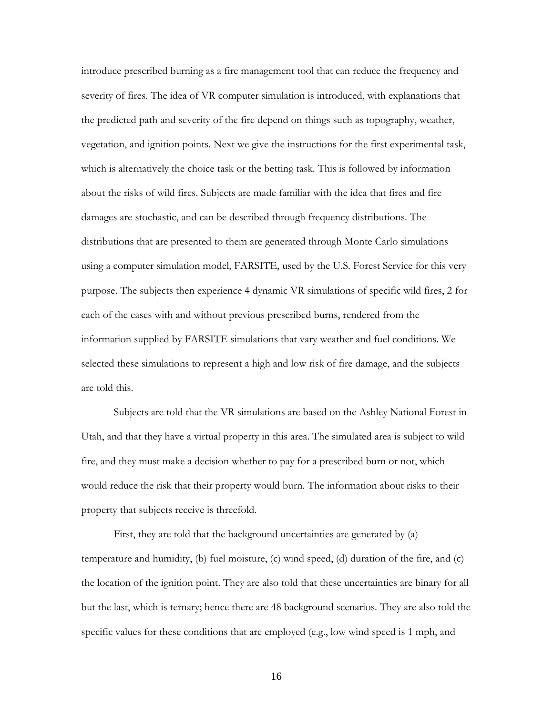introduce prescribed burning as a fire management tool that can reduce the frequency and severity of fires. The idea of VR computer simulation is introduced, with explanations that the predicted path and severity of the fire depend on things such as topography, weather, vegetation, and ignition points. Next we give the instructions for the first experimental task, which is alternatively the choice task or the betting task. This is followed by information about the risks of wild fires. Subjects are made familiar with the idea that fires and fire damages are stochastic, and can be described through frequency distributions. The distributions that are presented to them are generated through Monte Carlo simulations using a computer simulation model, FARSITE, used by the U.S. Forest Service for this very purpose. The subjects then experience 4 dynamic VR simulations of specific wild fires, 2 for each of the cases with and without previous prescribed burns, rendered from the information supplied by FARSITE simulations that vary weather and fuel conditions. We selected these simulations to represent a high and low risk of fire damage, and the subjects are told this.

Subjects are told that the VR simulations are based on the Ashley National Forest in Utah, and that they have a virtual property in this area. The simulated area is subject to wild fire, and they must make a decision whether to pay for a prescribed burn or not, which would reduce the risk that their property would burn. The information about risks to their property that subjects receive is threefold.

First, they are told that the background uncertainties are generated by (a) temperature and humidity, (b) fuel moisture, (c) wind speed, (d) duration of the fire, and (c) the location of the ignition point. They are also told that these uncertainties are binary for all but the last, which is ternary; hence there are 48 background scenarios. They are also told the specific values for these conditions that are employed (e.g., low wind speed is 1 mph, and

16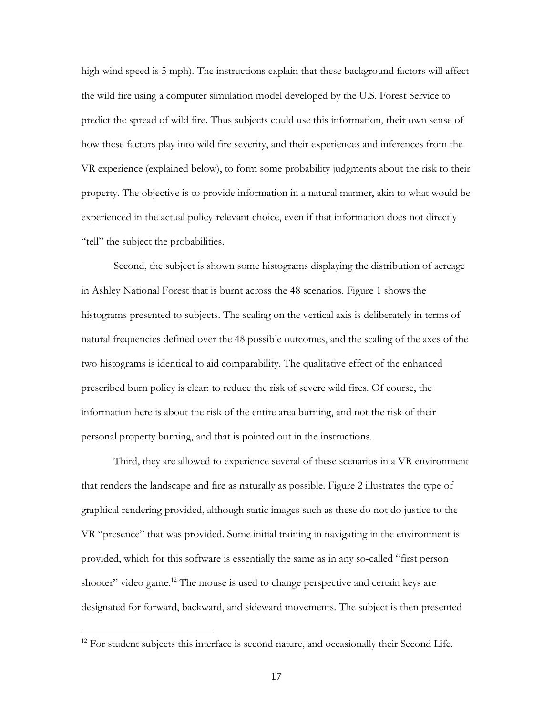high wind speed is 5 mph). The instructions explain that these background factors will affect the wild fire using a computer simulation model developed by the U.S. Forest Service to predict the spread of wild fire. Thus subjects could use this information, their own sense of how these factors play into wild fire severity, and their experiences and inferences from the VR experience (explained below), to form some probability judgments about the risk to their property. The objective is to provide information in a natural manner, akin to what would be experienced in the actual policy-relevant choice, even if that information does not directly "tell" the subject the probabilities.

Second, the subject is shown some histograms displaying the distribution of acreage in Ashley National Forest that is burnt across the 48 scenarios. Figure 1 shows the histograms presented to subjects. The scaling on the vertical axis is deliberately in terms of natural frequencies defined over the 48 possible outcomes, and the scaling of the axes of the two histograms is identical to aid comparability. The qualitative effect of the enhanced prescribed burn policy is clear: to reduce the risk of severe wild fires. Of course, the information here is about the risk of the entire area burning, and not the risk of their personal property burning, and that is pointed out in the instructions.

Third, they are allowed to experience several of these scenarios in a VR environment that renders the landscape and fire as naturally as possible. Figure 2 illustrates the type of graphical rendering provided, although static images such as these do not do justice to the VR "presence" that was provided. Some initial training in navigating in the environment is provided, which for this software is essentially the same as in any so-called "first person shooter" video game.<sup>12</sup> The mouse is used to change perspective and certain keys are designated for forward, backward, and sideward movements. The subject is then presented

<sup>&</sup>lt;sup>12</sup> For student subjects this interface is second nature, and occasionally their Second Life.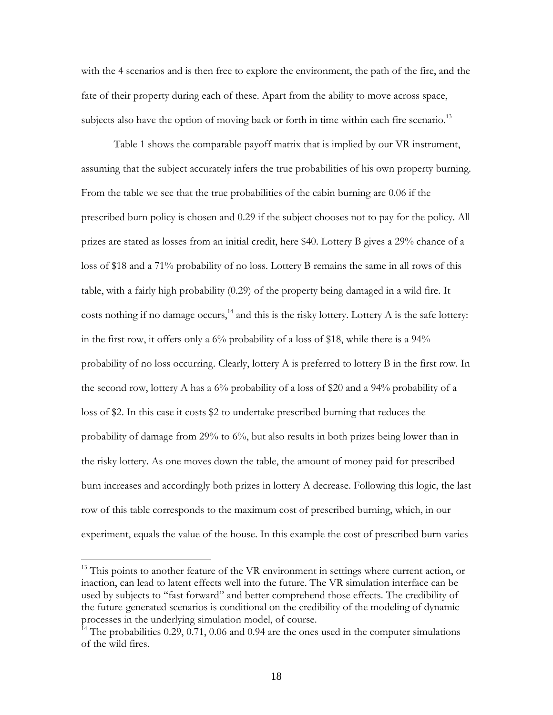with the 4 scenarios and is then free to explore the environment, the path of the fire, and the fate of their property during each of these. Apart from the ability to move across space, subjects also have the option of moving back or forth in time within each fire scenario.<sup>13</sup>

Table 1 shows the comparable payoff matrix that is implied by our VR instrument, assuming that the subject accurately infers the true probabilities of his own property burning. From the table we see that the true probabilities of the cabin burning are 0.06 if the prescribed burn policy is chosen and 0.29 if the subject chooses not to pay for the policy. All prizes are stated as losses from an initial credit, here \$40. Lottery B gives a 29% chance of a loss of \$18 and a 71% probability of no loss. Lottery B remains the same in all rows of this table, with a fairly high probability (0.29) of the property being damaged in a wild fire. It costs nothing if no damage occurs,<sup>14</sup> and this is the risky lottery. Lottery A is the safe lottery: in the first row, it offers only a 6% probability of a loss of \$18, while there is a 94% probability of no loss occurring. Clearly, lottery A is preferred to lottery B in the first row. In the second row, lottery A has a  $6\%$  probability of a loss of \$20 and a 94% probability of a loss of \$2. In this case it costs \$2 to undertake prescribed burning that reduces the probability of damage from 29% to 6%, but also results in both prizes being lower than in the risky lottery. As one moves down the table, the amount of money paid for prescribed burn increases and accordingly both prizes in lottery A decrease. Following this logic, the last row of this table corresponds to the maximum cost of prescribed burning, which, in our experiment, equals the value of the house. In this example the cost of prescribed burn varies

 $13$  This points to another feature of the VR environment in settings where current action, or inaction, can lead to latent effects well into the future. The VR simulation interface can be used by subjects to "fast forward" and better comprehend those effects. The credibility of the future-generated scenarios is conditional on the credibility of the modeling of dynamic processes in the underlying simulation model, of course.

 $14$ <sup>14</sup> The probabilities 0.29, 0.71, 0.06 and 0.94 are the ones used in the computer simulations of the wild fires.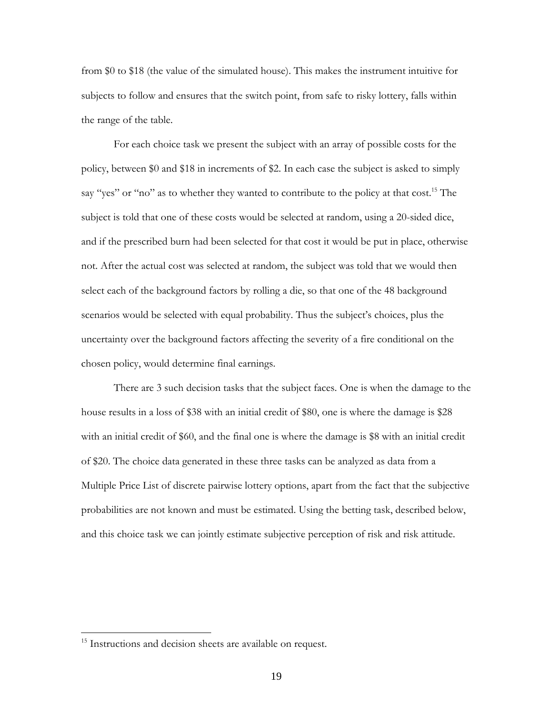from \$0 to \$18 (the value of the simulated house). This makes the instrument intuitive for subjects to follow and ensures that the switch point, from safe to risky lottery, falls within the range of the table.

For each choice task we present the subject with an array of possible costs for the policy, between \$0 and \$18 in increments of \$2. In each case the subject is asked to simply say "yes" or "no" as to whether they wanted to contribute to the policy at that cost.<sup>15</sup> The subject is told that one of these costs would be selected at random, using a 20-sided dice, and if the prescribed burn had been selected for that cost it would be put in place, otherwise not. After the actual cost was selected at random, the subject was told that we would then select each of the background factors by rolling a die, so that one of the 48 background scenarios would be selected with equal probability. Thus the subject's choices, plus the uncertainty over the background factors affecting the severity of a fire conditional on the chosen policy, would determine final earnings.

There are 3 such decision tasks that the subject faces. One is when the damage to the house results in a loss of \$38 with an initial credit of \$80, one is where the damage is \$28 with an initial credit of \$60, and the final one is where the damage is \$8 with an initial credit of \$20. The choice data generated in these three tasks can be analyzed as data from a Multiple Price List of discrete pairwise lottery options, apart from the fact that the subjective probabilities are not known and must be estimated. Using the betting task, described below, and this choice task we can jointly estimate subjective perception of risk and risk attitude.

<sup>&</sup>lt;sup>15</sup> Instructions and decision sheets are available on request.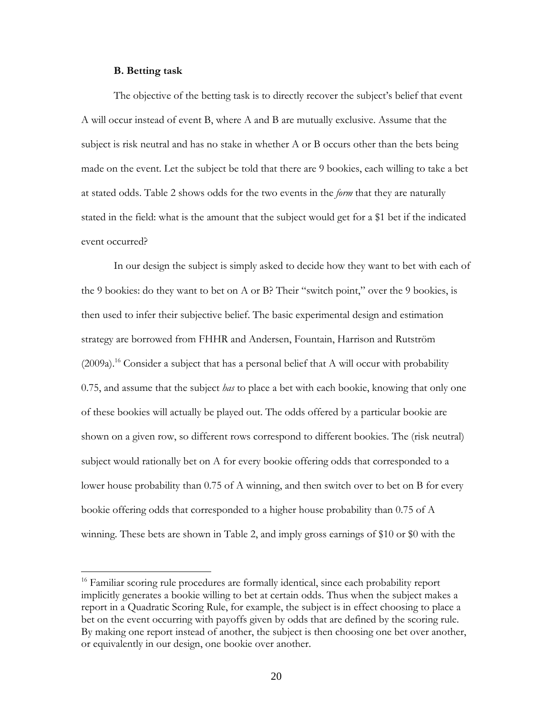### **B. Betting task**

 $\overline{a}$ 

The objective of the betting task is to directly recover the subject's belief that event A will occur instead of event B, where A and B are mutually exclusive. Assume that the subject is risk neutral and has no stake in whether A or B occurs other than the bets being made on the event. Let the subject be told that there are 9 bookies, each willing to take a bet at stated odds. Table 2 shows odds for the two events in the *form* that they are naturally stated in the field: what is the amount that the subject would get for a \$1 bet if the indicated event occurred?

In our design the subject is simply asked to decide how they want to bet with each of the 9 bookies: do they want to bet on A or B? Their "switch point," over the 9 bookies, is then used to infer their subjective belief. The basic experimental design and estimation strategy are borrowed from FHHR and Andersen, Fountain, Harrison and Rutström  $(2009a)^{16}$  Consider a subject that has a personal belief that A will occur with probability 0.75, and assume that the subject *has* to place a bet with each bookie, knowing that only one of these bookies will actually be played out. The odds offered by a particular bookie are shown on a given row, so different rows correspond to different bookies. The (risk neutral) subject would rationally bet on A for every bookie offering odds that corresponded to a lower house probability than 0.75 of A winning, and then switch over to bet on B for every bookie offering odds that corresponded to a higher house probability than 0.75 of A winning. These bets are shown in Table 2, and imply gross earnings of \$10 or \$0 with the

<sup>&</sup>lt;sup>16</sup> Familiar scoring rule procedures are formally identical, since each probability report implicitly generates a bookie willing to bet at certain odds. Thus when the subject makes a report in a Quadratic Scoring Rule, for example, the subject is in effect choosing to place a bet on the event occurring with payoffs given by odds that are defined by the scoring rule. By making one report instead of another, the subject is then choosing one bet over another, or equivalently in our design, one bookie over another.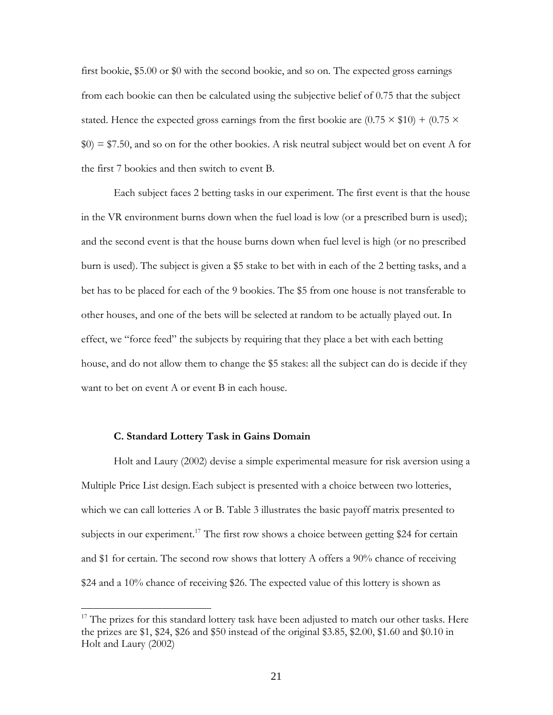first bookie, \$5.00 or \$0 with the second bookie, and so on. The expected gross earnings from each bookie can then be calculated using the subjective belief of 0.75 that the subject stated. Hence the expected gross earnings from the first bookie are  $(0.75 \times $10) + (0.75 \times$  $$0) = $7.50$ , and so on for the other bookies. A risk neutral subject would bet on event A for the first 7 bookies and then switch to event B.

Each subject faces 2 betting tasks in our experiment. The first event is that the house in the VR environment burns down when the fuel load is low (or a prescribed burn is used); and the second event is that the house burns down when fuel level is high (or no prescribed burn is used). The subject is given a \$5 stake to bet with in each of the 2 betting tasks, and a bet has to be placed for each of the 9 bookies. The \$5 from one house is not transferable to other houses, and one of the bets will be selected at random to be actually played out. In effect, we "force feed" the subjects by requiring that they place a bet with each betting house, and do not allow them to change the \$5 stakes: all the subject can do is decide if they want to bet on event A or event B in each house.

## **C. Standard Lottery Task in Gains Domain**

 $\overline{a}$ 

Holt and Laury (2002) devise a simple experimental measure for risk aversion using a Multiple Price List design.Each subject is presented with a choice between two lotteries, which we can call lotteries A or B. Table 3 illustrates the basic payoff matrix presented to subjects in our experiment.<sup>17</sup> The first row shows a choice between getting \$24 for certain and \$1 for certain. The second row shows that lottery A offers a  $90\%$  chance of receiving \$24 and a 10% chance of receiving \$26. The expected value of this lottery is shown as

 $17$  The prizes for this standard lottery task have been adjusted to match our other tasks. Here the prizes are \$1, \$24, \$26 and \$50 instead of the original \$3.85, \$2.00, \$1.60 and \$0.10 in Holt and Laury (2002)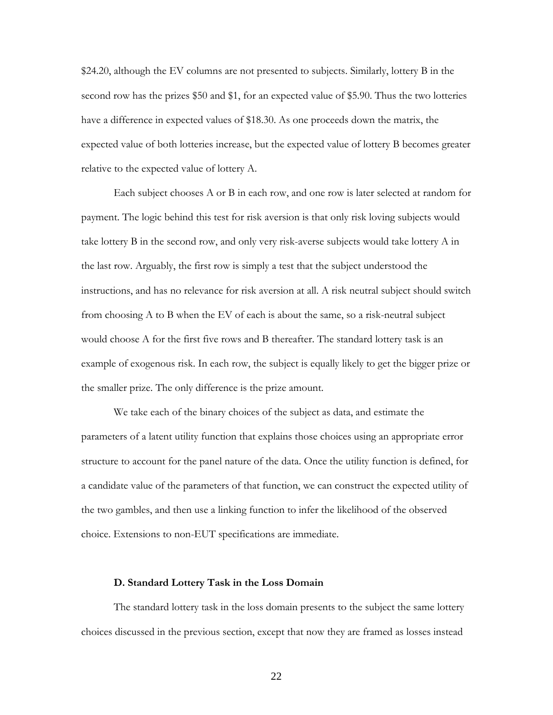\$24.20, although the EV columns are not presented to subjects. Similarly, lottery B in the second row has the prizes \$50 and \$1, for an expected value of \$5.90. Thus the two lotteries have a difference in expected values of \$18.30. As one proceeds down the matrix, the expected value of both lotteries increase, but the expected value of lottery B becomes greater relative to the expected value of lottery A.

Each subject chooses A or B in each row, and one row is later selected at random for payment. The logic behind this test for risk aversion is that only risk loving subjects would take lottery B in the second row, and only very risk-averse subjects would take lottery A in the last row. Arguably, the first row is simply a test that the subject understood the instructions, and has no relevance for risk aversion at all. A risk neutral subject should switch from choosing A to B when the EV of each is about the same, so a risk-neutral subject would choose A for the first five rows and B thereafter. The standard lottery task is an example of exogenous risk. In each row, the subject is equally likely to get the bigger prize or the smaller prize. The only difference is the prize amount.

We take each of the binary choices of the subject as data, and estimate the parameters of a latent utility function that explains those choices using an appropriate error structure to account for the panel nature of the data. Once the utility function is defined, for a candidate value of the parameters of that function, we can construct the expected utility of the two gambles, and then use a linking function to infer the likelihood of the observed choice. Extensions to non-EUT specifications are immediate.

#### **D. Standard Lottery Task in the Loss Domain**

The standard lottery task in the loss domain presents to the subject the same lottery choices discussed in the previous section, except that now they are framed as losses instead

22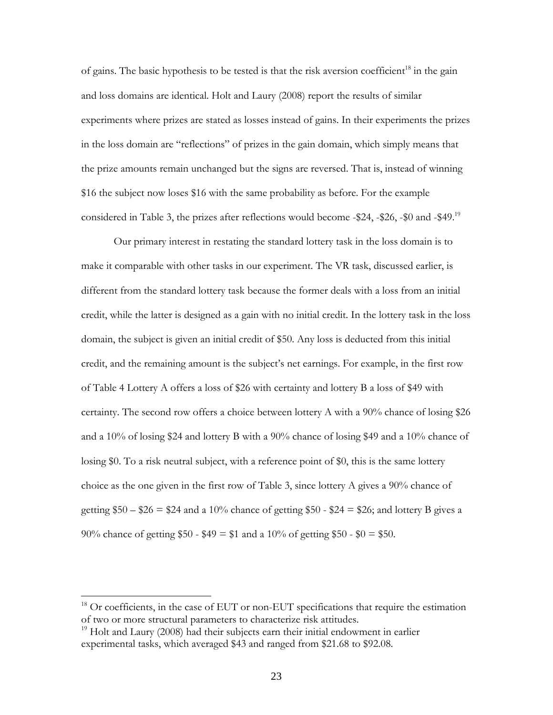of gains. The basic hypothesis to be tested is that the risk aversion coefficient<sup>18</sup> in the gain and loss domains are identical. Holt and Laury (2008) report the results of similar experiments where prizes are stated as losses instead of gains. In their experiments the prizes in the loss domain are "reflections" of prizes in the gain domain, which simply means that the prize amounts remain unchanged but the signs are reversed. That is, instead of winning \$16 the subject now loses \$16 with the same probability as before. For the example considered in Table 3, the prizes after reflections would become -\$24, -\$26, -\$0 and -\$49.<sup>19</sup>

Our primary interest in restating the standard lottery task in the loss domain is to make it comparable with other tasks in our experiment. The VR task, discussed earlier, is different from the standard lottery task because the former deals with a loss from an initial credit, while the latter is designed as a gain with no initial credit. In the lottery task in the loss domain, the subject is given an initial credit of \$50. Any loss is deducted from this initial credit, and the remaining amount is the subject's net earnings. For example, in the first row of Table 4 Lottery A offers a loss of \$26 with certainty and lottery B a loss of \$49 with certainty. The second row offers a choice between lottery A with a 90% chance of losing \$26 and a 10% of losing \$24 and lottery B with a 90% chance of losing \$49 and a 10% chance of losing \$0. To a risk neutral subject, with a reference point of \$0, this is the same lottery choice as the one given in the first row of Table 3, since lottery A gives a 90% chance of getting  $$50 - $26 = $24$  and a 10% chance of getting \$50 - \$24 = \$26; and lottery B gives a 90% chance of getting  $$50 - $49 = $1$  and a 10% of getting \$50 - \$0 = \$50.

<sup>&</sup>lt;sup>18</sup> Or coefficients, in the case of EUT or non-EUT specifications that require the estimation of two or more structural parameters to characterize risk attitudes.

 $19$  Holt and Laury (2008) had their subjects earn their initial endowment in earlier experimental tasks, which averaged \$43 and ranged from \$21.68 to \$92.08.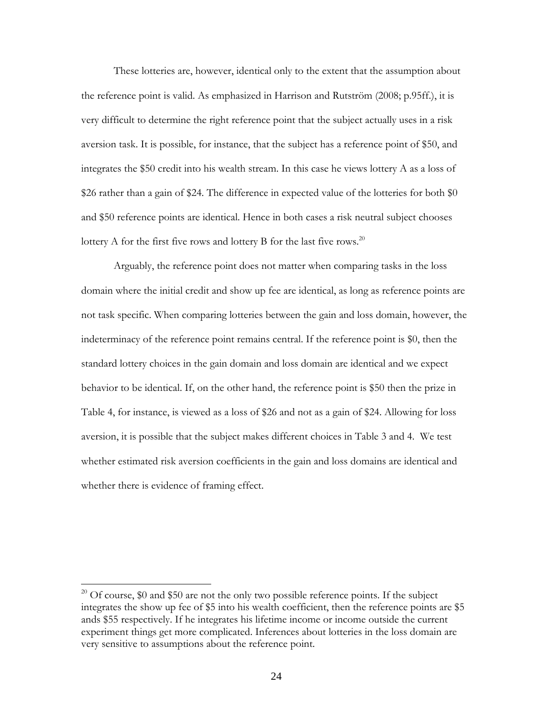These lotteries are, however, identical only to the extent that the assumption about the reference point is valid. As emphasized in Harrison and Rutström (2008; p.95ff.), it is very difficult to determine the right reference point that the subject actually uses in a risk aversion task. It is possible, for instance, that the subject has a reference point of \$50, and integrates the \$50 credit into his wealth stream. In this case he views lottery A as a loss of \$26 rather than a gain of \$24. The difference in expected value of the lotteries for both \$0 and \$50 reference points are identical. Hence in both cases a risk neutral subject chooses lottery A for the first five rows and lottery B for the last five rows.<sup>20</sup>

Arguably, the reference point does not matter when comparing tasks in the loss domain where the initial credit and show up fee are identical, as long as reference points are not task specific. When comparing lotteries between the gain and loss domain, however, the indeterminacy of the reference point remains central. If the reference point is \$0, then the standard lottery choices in the gain domain and loss domain are identical and we expect behavior to be identical. If, on the other hand, the reference point is \$50 then the prize in Table 4, for instance, is viewed as a loss of \$26 and not as a gain of \$24. Allowing for loss aversion, it is possible that the subject makes different choices in Table 3 and 4. We test whether estimated risk aversion coefficients in the gain and loss domains are identical and whether there is evidence of framing effect.

<sup>&</sup>lt;sup>20</sup> Of course, \$0 and \$50 are not the only two possible reference points. If the subject integrates the show up fee of \$5 into his wealth coefficient, then the reference points are \$5 ands \$55 respectively. If he integrates his lifetime income or income outside the current experiment things get more complicated. Inferences about lotteries in the loss domain are very sensitive to assumptions about the reference point.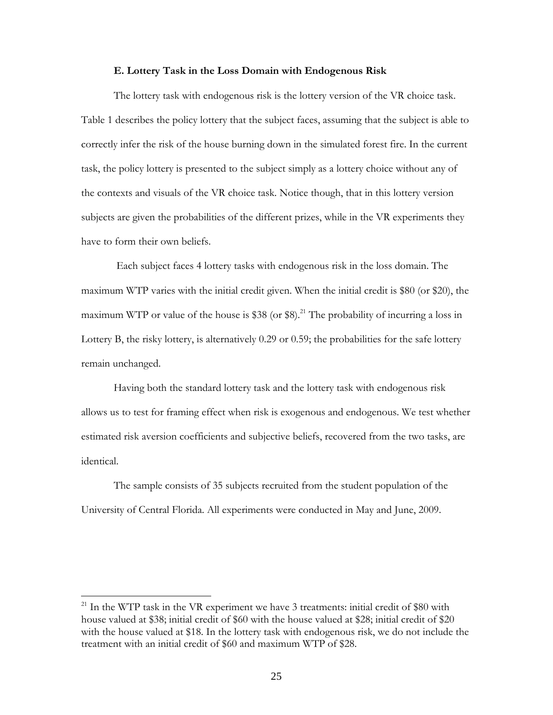#### **E. Lottery Task in the Loss Domain with Endogenous Risk**

The lottery task with endogenous risk is the lottery version of the VR choice task. Table 1 describes the policy lottery that the subject faces, assuming that the subject is able to correctly infer the risk of the house burning down in the simulated forest fire. In the current task, the policy lottery is presented to the subject simply as a lottery choice without any of the contexts and visuals of the VR choice task. Notice though, that in this lottery version subjects are given the probabilities of the different prizes, while in the VR experiments they have to form their own beliefs.

 Each subject faces 4 lottery tasks with endogenous risk in the loss domain. The maximum WTP varies with the initial credit given. When the initial credit is \$80 (or \$20), the maximum WTP or value of the house is  $$38$  (or  $$8$ ).<sup>21</sup> The probability of incurring a loss in Lottery B, the risky lottery, is alternatively 0.29 or 0.59; the probabilities for the safe lottery remain unchanged.

Having both the standard lottery task and the lottery task with endogenous risk allows us to test for framing effect when risk is exogenous and endogenous. We test whether estimated risk aversion coefficients and subjective beliefs, recovered from the two tasks, are identical.

The sample consists of 35 subjects recruited from the student population of the University of Central Florida. All experiments were conducted in May and June, 2009.

 $21$  In the WTP task in the VR experiment we have 3 treatments: initial credit of \$80 with house valued at \$38; initial credit of \$60 with the house valued at \$28; initial credit of \$20 with the house valued at \$18. In the lottery task with endogenous risk, we do not include the treatment with an initial credit of \$60 and maximum WTP of \$28.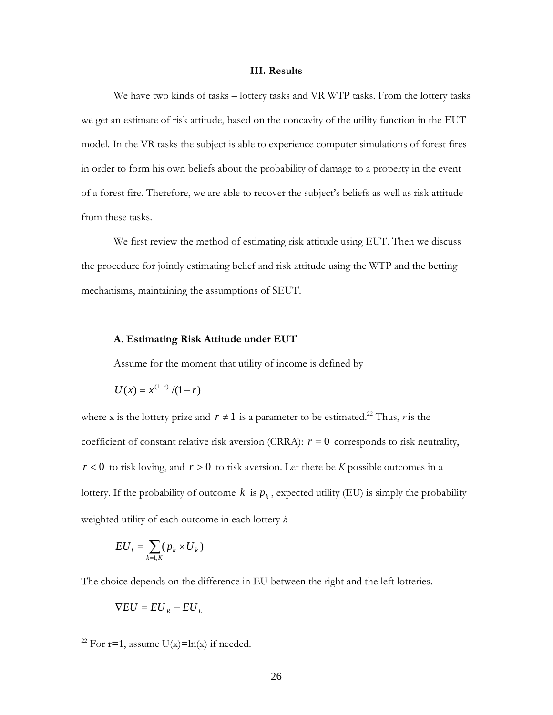#### **III. Results**

We have two kinds of tasks – lottery tasks and VR WTP tasks. From the lottery tasks we get an estimate of risk attitude, based on the concavity of the utility function in the EUT model. In the VR tasks the subject is able to experience computer simulations of forest fires in order to form his own beliefs about the probability of damage to a property in the event of a forest fire. Therefore, we are able to recover the subject's beliefs as well as risk attitude from these tasks.

We first review the method of estimating risk attitude using EUT. Then we discuss the procedure for jointly estimating belief and risk attitude using the WTP and the betting mechanisms, maintaining the assumptions of SEUT.

### **A. Estimating Risk Attitude under EUT**

Assume for the moment that utility of income is defined by

$$
U(x) = x^{(1-r)}/(1-r)
$$

where x is the lottery prize and  $r \neq 1$  is a parameter to be estimated.<sup>22</sup> Thus, *r* is the coefficient of constant relative risk aversion (CRRA):  $r = 0$  corresponds to risk neutrality,  $r < 0$  to risk loving, and  $r > 0$  to risk aversion. Let there be *K* possible outcomes in a lottery. If the probability of outcome  $k$  is  $p_k$ , expected utility (EU) is simply the probability weighted utility of each outcome in each lottery *i*:

$$
EU_i = \sum_{k=1,K} (p_k \times U_k)
$$

The choice depends on the difference in EU between the right and the left lotteries.

$$
\nabla EU = EU_R - EU_L
$$

<sup>&</sup>lt;sup>22</sup> For r=1, assume U(x)=ln(x) if needed.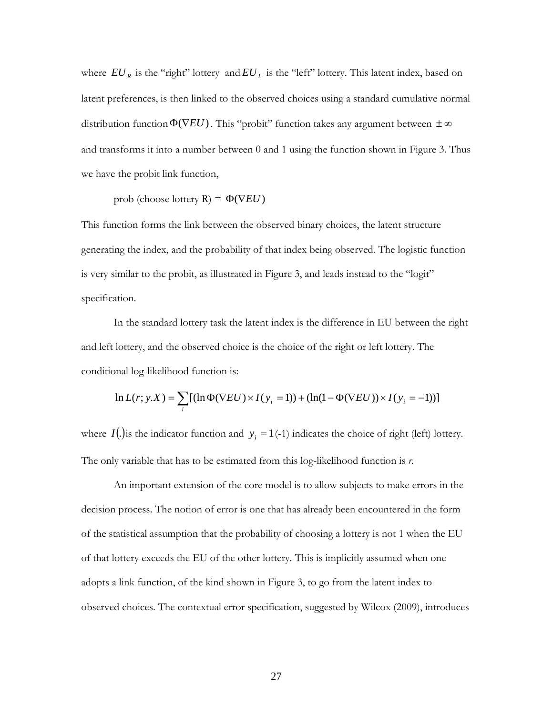where  $EU_R$  is the "right" lottery and  $EU_L$  is the "left" lottery. This latent index, based on latent preferences, is then linked to the observed choices using a standard cumulative normal distribution function $\Phi(\nabla EU)$ . This "probit" function takes any argument between  $\pm \infty$ and transforms it into a number between 0 and 1 using the function shown in Figure 3. Thus we have the probit link function,

prob (choose lottery  $R$ ) =  $\Phi(\nabla EU)$ 

This function forms the link between the observed binary choices, the latent structure generating the index, and the probability of that index being observed. The logistic function is very similar to the probit, as illustrated in Figure 3, and leads instead to the "logit" specification.

In the standard lottery task the latent index is the difference in EU between the right and left lottery, and the observed choice is the choice of the right or left lottery. The conditional log-likelihood function is:

$$
\ln L(r; y.X) = \sum_{i} \left[ (\ln \Phi(\nabla EU) \times I(y_i = 1)) + (\ln(1 - \Phi(\nabla EU)) \times I(y_i = -1)) \right]
$$

where  $I(.)$  is the indicator function and  $y_i = 1(-1)$  indicates the choice of right (left) lottery. The only variable that has to be estimated from this log-likelihood function is *r.*

An important extension of the core model is to allow subjects to make errors in the decision process. The notion of error is one that has already been encountered in the form of the statistical assumption that the probability of choosing a lottery is not 1 when the EU of that lottery exceeds the EU of the other lottery. This is implicitly assumed when one adopts a link function, of the kind shown in Figure 3, to go from the latent index to observed choices. The contextual error specification, suggested by Wilcox (2009), introduces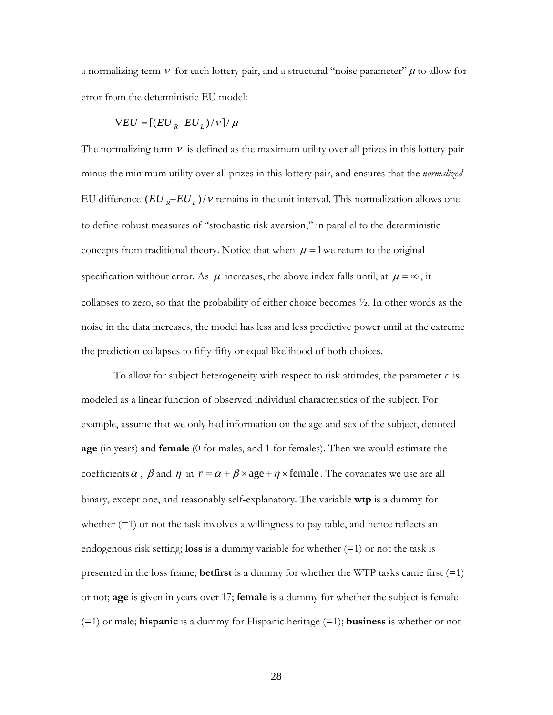a normalizing term  $\vee$  for each lottery pair, and a structural "noise parameter"  $\mu$  to allow for error from the deterministic EU model:

$$
\nabla EU = [(EU_R - EU_L)/v] / \mu
$$

The normalizing term  $\nu$  is defined as the maximum utility over all prizes in this lottery pair minus the minimum utility over all prizes in this lottery pair, and ensures that the *normalized*  EU difference  $(EU_R - EU_L)/V$  remains in the unit interval. This normalization allows one to define robust measures of "stochastic risk aversion," in parallel to the deterministic concepts from traditional theory. Notice that when  $\mu = 1$  we return to the original specification without error. As  $\mu$  increases, the above index falls until, at  $\mu = \infty$ , it collapses to zero, so that the probability of either choice becomes ½. In other words as the noise in the data increases, the model has less and less predictive power until at the extreme the prediction collapses to fifty-fifty or equal likelihood of both choices.

To allow for subject heterogeneity with respect to risk attitudes, the parameter *r* is modeled as a linear function of observed individual characteristics of the subject. For example, assume that we only had information on the age and sex of the subject, denoted **age** (in years) and **female** (0 for males, and 1 for females). Then we would estimate the coefficients  $\alpha$ ,  $\beta$  and  $\eta$  in  $r = \alpha + \beta \times \text{age} + \eta \times \text{female}$ . The covariates we use are all binary, except one, and reasonably self-explanatory. The variable **wtp** is a dummy for whether  $(=1)$  or not the task involves a willingness to pay table, and hence reflects an endogenous risk setting; **loss** is a dummy variable for whether  $(=1)$  or not the task is presented in the loss frame; **betfirst** is a dummy for whether the WTP tasks came first (=1) or not; **age** is given in years over 17; **female** is a dummy for whether the subject is female (=1) or male; **hispanic** is a dummy for Hispanic heritage (=1); **business** is whether or not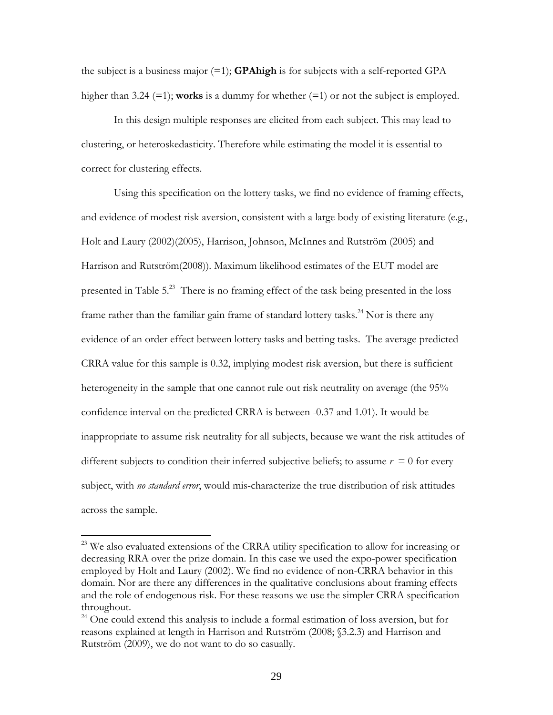the subject is a business major (=1); **GPAhigh** is for subjects with a self-reported GPA higher than 3.24 (=1); **works** is a dummy for whether (=1) or not the subject is employed.

In this design multiple responses are elicited from each subject. This may lead to clustering, or heteroskedasticity. Therefore while estimating the model it is essential to correct for clustering effects.

Using this specification on the lottery tasks, we find no evidence of framing effects, and evidence of modest risk aversion, consistent with a large body of existing literature (e.g., Holt and Laury (2002)(2005), Harrison, Johnson, McInnes and Rutström (2005) and Harrison and Rutström(2008)). Maximum likelihood estimates of the EUT model are presented in Table 5.23 There is no framing effect of the task being presented in the loss frame rather than the familiar gain frame of standard lottery tasks.<sup>24</sup> Nor is there any evidence of an order effect between lottery tasks and betting tasks. The average predicted CRRA value for this sample is 0.32, implying modest risk aversion, but there is sufficient heterogeneity in the sample that one cannot rule out risk neutrality on average (the 95% confidence interval on the predicted CRRA is between -0.37 and 1.01). It would be inappropriate to assume risk neutrality for all subjects, because we want the risk attitudes of different subjects to condition their inferred subjective beliefs; to assume  $r = 0$  for every subject, with *no standard error*, would mis-characterize the true distribution of risk attitudes across the sample.

<sup>&</sup>lt;sup>23</sup> We also evaluated extensions of the CRRA utility specification to allow for increasing or decreasing RRA over the prize domain. In this case we used the expo-power specification employed by Holt and Laury (2002). We find no evidence of non-CRRA behavior in this domain. Nor are there any differences in the qualitative conclusions about framing effects and the role of endogenous risk. For these reasons we use the simpler CRRA specification throughout.

<sup>&</sup>lt;sup>24</sup> One could extend this analysis to include a formal estimation of loss aversion, but for reasons explained at length in Harrison and Rutström (2008; §3.2.3) and Harrison and Rutström (2009), we do not want to do so casually.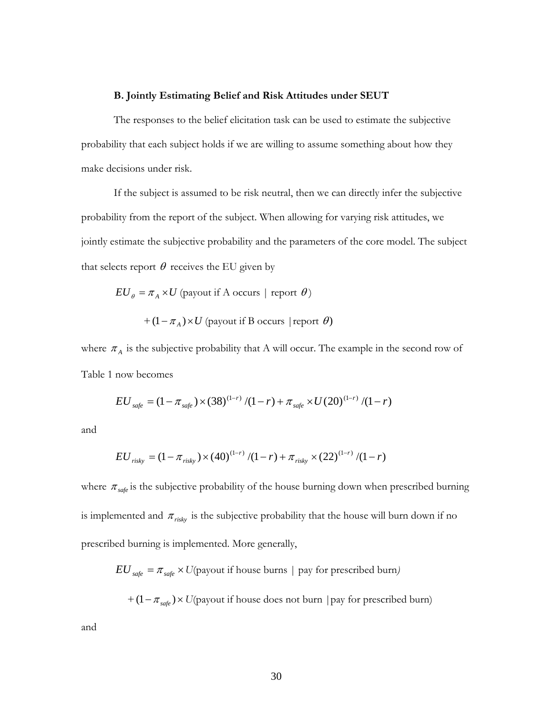## **B. Jointly Estimating Belief and Risk Attitudes under SEUT**

The responses to the belief elicitation task can be used to estimate the subjective probability that each subject holds if we are willing to assume something about how they make decisions under risk.

If the subject is assumed to be risk neutral, then we can directly infer the subjective probability from the report of the subject. When allowing for varying risk attitudes, we jointly estimate the subjective probability and the parameters of the core model. The subject that selects report  $\theta$  receives the EU given by

$$
EU_{\theta} = \pi_A \times U
$$
 (payout if A occurs | report  $\theta$ )  
+  $(1 - \pi_A) \times U$  (payout if B occurs | report  $\theta$ )

where  $\pi_A$  is the subjective probability that A will occur. The example in the second row of Table 1 now becomes

$$
EU_{\text{safe}} = (1 - \pi_{\text{safe}}) \times (38)^{(1-r)} / (1-r) + \pi_{\text{safe}} \times U(20)^{(1-r)} / (1-r)
$$

and

$$
EU_{risky} = (1 - \pi_{risky}) \times (40)^{(1-r)} / (1-r) + \pi_{risky} \times (22)^{(1-r)} / (1-r)
$$

where  $\pi_{\text{safe}}$  is the subjective probability of the house burning down when prescribed burning is implemented and  $\pi_{\text{risky}}$  is the subjective probability that the house will burn down if no prescribed burning is implemented. More generally,

 $EU_{\text{safe}} = \pi_{\text{safe}} \times U(\text{payment if house burns} \mid \text{pay for prescribed burn})$ 

 $+(1 - \pi_{\text{safe}}) \times U(\text{payout if house does not burn } | \text{pay for prescribed burn})$ 

and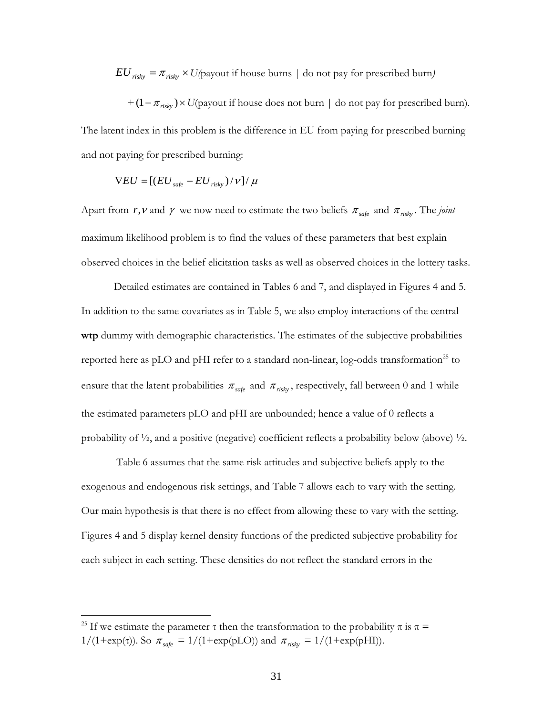$EU_{risky} = \pi_{risky} \times U(p$  ayout if house burns | do not pay for prescribed burn)

 $+(1 - \pi_{risk} \times U(\text{payout if house does not burn } | \text{ do not pay for prescribed burn}).$ 

The latent index in this problem is the difference in EU from paying for prescribed burning and not paying for prescribed burning:

$$
\nabla EU = [(EU_{\text{safe}} - EU_{\text{risky}})/V]/\mu
$$

Apart from *r*, *v* and  $\gamma$  we now need to estimate the two beliefs  $\pi_{\text{safe}}$  and  $\pi_{\text{risk}}$ . The *joint* maximum likelihood problem is to find the values of these parameters that best explain observed choices in the belief elicitation tasks as well as observed choices in the lottery tasks.

Detailed estimates are contained in Tables 6 and 7, and displayed in Figures 4 and 5. In addition to the same covariates as in Table 5, we also employ interactions of the central **wtp** dummy with demographic characteristics. The estimates of the subjective probabilities reported here as pLO and pHI refer to a standard non-linear,  $log$ -odds transformation<sup>25</sup> to ensure that the latent probabilities  $\pi_{\text{safe}}$  and  $\pi_{\text{risk}}$ , respectively, fall between 0 and 1 while the estimated parameters pLO and pHI are unbounded; hence a value of 0 reflects a probability of  $\frac{1}{2}$ , and a positive (negative) coefficient reflects a probability below (above)  $\frac{1}{2}$ .

 Table 6 assumes that the same risk attitudes and subjective beliefs apply to the exogenous and endogenous risk settings, and Table 7 allows each to vary with the setting. Our main hypothesis is that there is no effect from allowing these to vary with the setting. Figures 4 and 5 display kernel density functions of the predicted subjective probability for each subject in each setting. These densities do not reflect the standard errors in the

<sup>&</sup>lt;sup>25</sup> If we estimate the parameter  $\tau$  then the transformation to the probability  $\pi$  is  $\pi$  = 1/(1+exp(τ)). So  $\pi_{\text{safe}} = 1/(1+\exp(pLO))$  and  $\pi_{\text{risky}} = 1/(1+\exp(pHI))$ .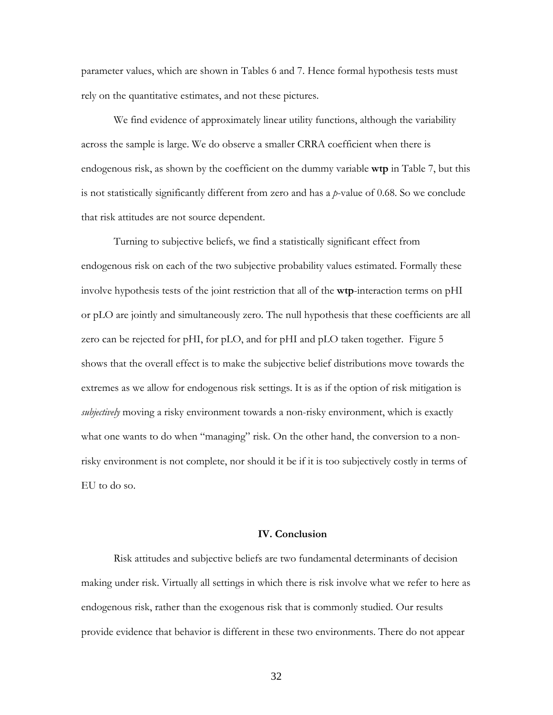parameter values, which are shown in Tables 6 and 7. Hence formal hypothesis tests must rely on the quantitative estimates, and not these pictures.

We find evidence of approximately linear utility functions, although the variability across the sample is large. We do observe a smaller CRRA coefficient when there is endogenous risk, as shown by the coefficient on the dummy variable **wtp** in Table 7, but this is not statistically significantly different from zero and has a *p*-value of 0.68. So we conclude that risk attitudes are not source dependent.

Turning to subjective beliefs, we find a statistically significant effect from endogenous risk on each of the two subjective probability values estimated. Formally these involve hypothesis tests of the joint restriction that all of the **wtp**-interaction terms on pHI or pLO are jointly and simultaneously zero. The null hypothesis that these coefficients are all zero can be rejected for pHI, for pLO, and for pHI and pLO taken together. Figure 5 shows that the overall effect is to make the subjective belief distributions move towards the extremes as we allow for endogenous risk settings. It is as if the option of risk mitigation is *subjectively* moving a risky environment towards a non-risky environment, which is exactly what one wants to do when "managing" risk. On the other hand, the conversion to a nonrisky environment is not complete, nor should it be if it is too subjectively costly in terms of EU to do so.

## **IV. Conclusion**

Risk attitudes and subjective beliefs are two fundamental determinants of decision making under risk. Virtually all settings in which there is risk involve what we refer to here as endogenous risk, rather than the exogenous risk that is commonly studied. Our results provide evidence that behavior is different in these two environments. There do not appear

32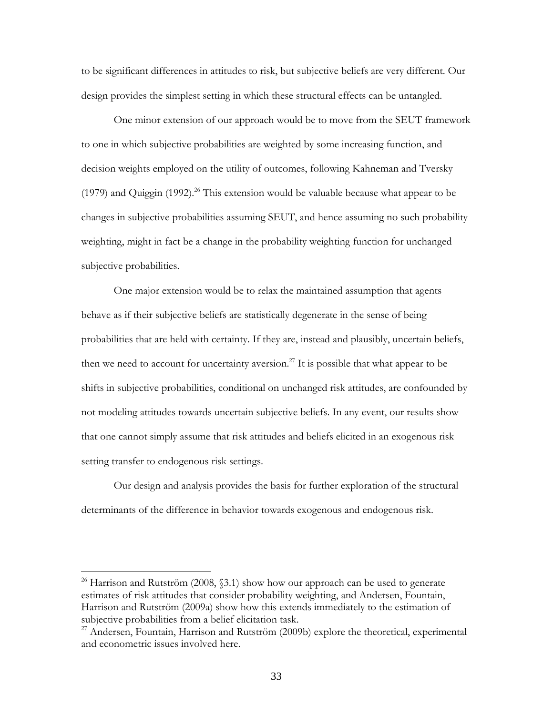to be significant differences in attitudes to risk, but subjective beliefs are very different. Our design provides the simplest setting in which these structural effects can be untangled.

One minor extension of our approach would be to move from the SEUT framework to one in which subjective probabilities are weighted by some increasing function, and decision weights employed on the utility of outcomes, following Kahneman and Tversky (1979) and Quiggin (1992).<sup>26</sup> This extension would be valuable because what appear to be changes in subjective probabilities assuming SEUT, and hence assuming no such probability weighting, might in fact be a change in the probability weighting function for unchanged subjective probabilities.

One major extension would be to relax the maintained assumption that agents behave as if their subjective beliefs are statistically degenerate in the sense of being probabilities that are held with certainty. If they are, instead and plausibly, uncertain beliefs, then we need to account for uncertainty aversion.<sup>27</sup> It is possible that what appear to be shifts in subjective probabilities, conditional on unchanged risk attitudes, are confounded by not modeling attitudes towards uncertain subjective beliefs. In any event, our results show that one cannot simply assume that risk attitudes and beliefs elicited in an exogenous risk setting transfer to endogenous risk settings.

Our design and analysis provides the basis for further exploration of the structural determinants of the difference in behavior towards exogenous and endogenous risk.

<sup>&</sup>lt;sup>26</sup> Harrison and Rutström (2008,  $\S$ 3.1) show how our approach can be used to generate estimates of risk attitudes that consider probability weighting, and Andersen, Fountain, Harrison and Rutström (2009a) show how this extends immediately to the estimation of subjective probabilities from a belief elicitation task.

<sup>&</sup>lt;sup>27</sup> Andersen, Fountain, Harrison and Rutström (2009b) explore the theoretical, experimental and econometric issues involved here.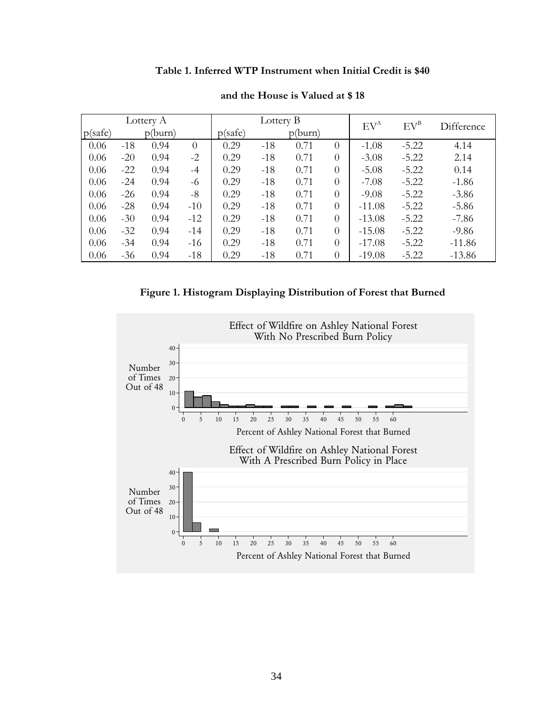## **Table 1. Inferred WTP Instrument when Initial Credit is \$40**

|         |       | Lottery A |                |         | Lottery B |         |                | $EV^A$   | $EV^B$  | Difference |
|---------|-------|-----------|----------------|---------|-----------|---------|----------------|----------|---------|------------|
| p(safe) |       | p(burn)   |                | p(safe) |           | p(burn) |                |          |         |            |
| 0.06    | $-18$ | 0.94      | $\overline{0}$ | 0.29    | $-18$     | 0.71    | $\overline{0}$ | $-1.08$  | $-5.22$ | 4.14       |
| 0.06    | $-20$ | 0.94      | $-2$           | 0.29    | $-18$     | 0.71    | $\theta$       | $-3.08$  | $-5.22$ | 2.14       |
| 0.06    | $-22$ | 0.94      | $-4$           | 0.29    | $-18$     | 0.71    | $\Omega$       | $-5.08$  | $-5.22$ | 0.14       |
| 0.06    | $-24$ | 0.94      | -6             | 0.29    | $-18$     | 0.71    | $\Omega$       | $-7.08$  | $-5.22$ | $-1.86$    |
| 0.06    | $-26$ | 0.94      | $-8$           | 0.29    | $-18$     | 0.71    | $\Omega$       | $-9.08$  | $-5.22$ | $-3.86$    |
| 0.06    | $-28$ | 0.94      | $-10$          | 0.29    | $-18$     | 0.71    | $\Omega$       | $-11.08$ | $-5.22$ | $-5.86$    |
| 0.06    | $-30$ | 0.94      | $-12$          | 0.29    | $-18$     | 0.71    | $\Omega$       | $-13.08$ | $-5.22$ | $-7.86$    |
| 0.06    | $-32$ | 0.94      | $-14$          | 0.29    | $-18$     | 0.71    | $\Omega$       | $-15.08$ | $-5.22$ | $-9.86$    |
| 0.06    | $-34$ | 0.94      | $-16$          | 0.29    | $-18$     | 0.71    | $\Omega$       | $-17.08$ | $-5.22$ | $-11.86$   |
| 0.06    | $-36$ | 0.94      | $-18$          | 0.29    | $-18$     | 0.71    | $\theta$       | $-19.08$ | $-5.22$ | $-13.86$   |

## **and the House is Valued at \$ 18**

**Figure 1. Histogram Displaying Distribution of Forest that Burned** 

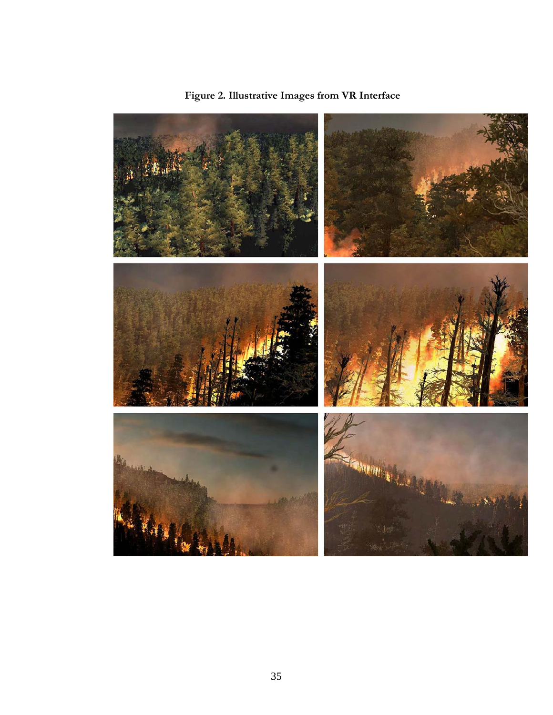

**Figure 2. Illustrative Images from VR Interface**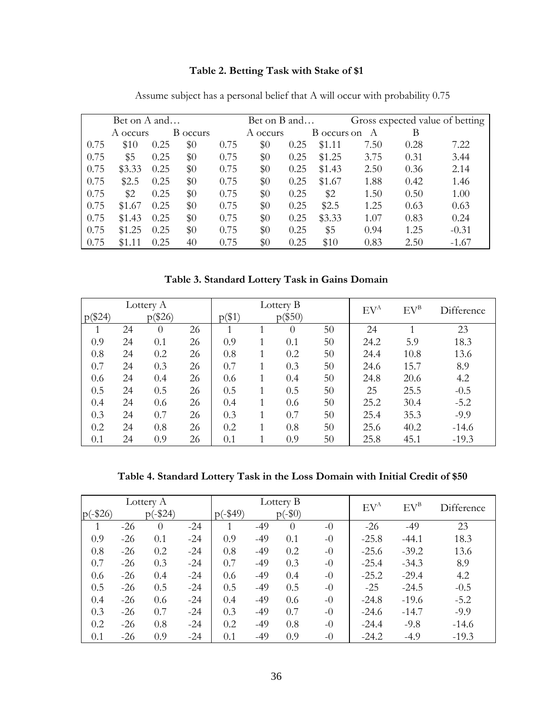# **Table 2. Betting Task with Stake of \$1**

|      | Bet on A and |      |          |      | Bet on B and |      |             | Gross expected value of betting |      |         |
|------|--------------|------|----------|------|--------------|------|-------------|---------------------------------|------|---------|
|      | A occurs     |      | B occurs |      | A occurs     |      | B occurs on | A                               | В    |         |
| 0.75 | \$10         | 0.25 | $\$0$    | 0.75 | \$0          | 0.25 | \$1.11      | 7.50                            | 0.28 | 7.22    |
| 0.75 | \$5          | 0.25 | $\$0$    | 0.75 | \$0          | 0.25 | \$1.25      | 3.75                            | 0.31 | 3.44    |
| 0.75 | \$3.33       | 0.25 | \$0      | 0.75 | $\$0$        | 0.25 | \$1.43      | 2.50                            | 0.36 | 2.14    |
| 0.75 | \$2.5        | 0.25 | $\$0$    | 0.75 | $\$0$        | 0.25 | \$1.67      | 1.88                            | 0.42 | 1.46    |
| 0.75 | \$2          | 0.25 | \$0      | 0.75 | \$0          | 0.25 | \$2         | 1.50                            | 0.50 | 1.00    |
| 0.75 | \$1.67       | 0.25 | $\$0$    | 0.75 | $\$0$        | 0.25 | \$2.5       | 1.25                            | 0.63 | 0.63    |
| 0.75 | \$1.43       | 0.25 | $\$0$    | 0.75 | \$0          | 0.25 | \$3.33      | 1.07                            | 0.83 | 0.24    |
| 0.75 | \$1.25       | 0.25 | $\$0$    | 0.75 | $\$0$        | 0.25 | \$5         | 0.94                            | 1.25 | $-0.31$ |
| 0.75 | \$1.11       | 0.25 | 40       | 0.75 | $\$0$        | 0.25 | \$10        | 0.83                            | 2.50 | $-1.67$ |

Assume subject has a personal belief that A will occur with probability 0.75

**Table 3. Standard Lottery Task in Gains Domain** 

| Lottery A |    |          |    | Lottery B |  |           |    | $EV^B$                              | Difference |         |
|-----------|----|----------|----|-----------|--|-----------|----|-------------------------------------|------------|---------|
| $p(\$24)$ |    | p(\$26)  |    | $p(\$1)$  |  | $p(\$50)$ |    | $\mathrm{E}\mathrm{V}^{\mathrm{A}}$ |            |         |
|           | 24 | $\Omega$ | 26 |           |  | $\theta$  | 50 | 24                                  |            | 23      |
| 0.9       | 24 | 0.1      | 26 | 0.9       |  | 0.1       | 50 | 24.2                                | 5.9        | 18.3    |
| 0.8       | 24 | 0.2      | 26 | 0.8       |  | 0.2       | 50 | 24.4                                | 10.8       | 13.6    |
| 0.7       | 24 | 0.3      | 26 | 0.7       |  | 0.3       | 50 | 24.6                                | 15.7       | 8.9     |
| 0.6       | 24 | 0.4      | 26 | 0.6       |  | 0.4       | 50 | 24.8                                | 20.6       | 4.2     |
| 0.5       | 24 | 0.5      | 26 | 0.5       |  | 0.5       | 50 | 25                                  | 25.5       | $-0.5$  |
| 0.4       | 24 | 0.6      | 26 | 0.4       |  | 0.6       | 50 | 25.2                                | 30.4       | $-5.2$  |
| 0.3       | 24 | 0.7      | 26 | 0.3       |  | 0.7       | 50 | 25.4                                | 35.3       | $-9.9$  |
| 0.2       | 24 | 0.8      | 26 | 0.2       |  | 0.8       | 50 | 25.6                                | 40.2       | $-14.6$ |
| 0.1       | 24 | 0.9      | 26 | 0.1       |  | 0.9       | 50 | 25.8                                | 45.1       | $-19.3$ |

**Table 4. Standard Lottery Task in the Loss Domain with Initial Credit of \$50** 

| Lottery A  |       |            |       |          | Lottery B |           | $EV^A$ | $EV^B$  | Difference |         |
|------------|-------|------------|-------|----------|-----------|-----------|--------|---------|------------|---------|
| $p(-\$26)$ |       | $p(-\$24)$ |       | $p(-19)$ |           | $p(-\$0)$ |        |         |            |         |
|            | $-26$ | $\theta$   | $-24$ |          | $-49$     | $\theta$  | $-0$   | $-26$   | $-49$      | 23      |
| 0.9        | $-26$ | 0.1        | $-24$ | 0.9      | $-49$     | 0.1       | $-0$   | $-25.8$ | $-44.1$    | 18.3    |
| 0.8        | $-26$ | 0.2        | $-24$ | 0.8      | $-49$     | 0.2       | $-0$   | $-25.6$ | $-39.2$    | 13.6    |
| 0.7        | $-26$ | 0.3        | $-24$ | 0.7      | $-49$     | 0.3       | $-0$   | $-25.4$ | $-34.3$    | 8.9     |
| 0.6        | $-26$ | 0.4        | $-24$ | 0.6      | $-49$     | 0.4       | $-0$   | $-25.2$ | $-29.4$    | 4.2     |
| 0.5        | $-26$ | 0.5        | $-24$ | 0.5      | $-49$     | 0.5       | $-0$   | $-25$   | $-24.5$    | $-0.5$  |
| 0.4        | $-26$ | 0.6        | $-24$ | 0.4      | $-49$     | 0.6       | $-0$   | $-24.8$ | $-19.6$    | $-5.2$  |
| 0.3        | $-26$ | 0.7        | $-24$ | 0.3      | $-49$     | 0.7       | $-0$   | $-24.6$ | $-14.7$    | $-9.9$  |
| 0.2        | $-26$ | 0.8        | $-24$ | 0.2      | $-49$     | 0.8       | $-0$   | $-24.4$ | $-9.8$     | $-14.6$ |
| 0.1        | $-26$ | 0.9        | $-24$ | 0.1      | $-49$     | 0.9       | $-0$   | $-24.2$ | $-4.9$     | $-19.3$ |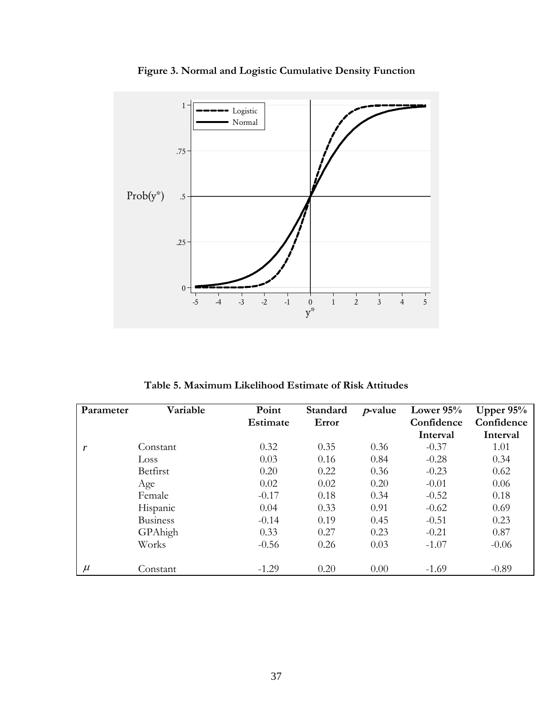

**Figure 3. Normal and Logistic Cumulative Density Function** 

**Table 5. Maximum Likelihood Estimate of Risk Attitudes** 

| Parameter | Variable        | Point    | Standard | $p$ -value | Lower $95%$ | Upper $95%$ |
|-----------|-----------------|----------|----------|------------|-------------|-------------|
|           |                 | Estimate | Error    |            | Confidence  | Confidence  |
|           |                 |          |          |            | Interval    | Interval    |
| r         | Constant        | 0.32     | 0.35     | 0.36       | $-0.37$     | 1.01        |
|           | Loss            | 0.03     | 0.16     | 0.84       | $-0.28$     | 0.34        |
|           | Betfirst        | 0.20     | 0.22     | 0.36       | $-0.23$     | 0.62        |
|           | Age             | 0.02     | 0.02     | 0.20       | $-0.01$     | 0.06        |
|           | Female          | $-0.17$  | 0.18     | 0.34       | $-0.52$     | 0.18        |
|           | Hispanic        | 0.04     | 0.33     | 0.91       | $-0.62$     | 0.69        |
|           | <b>Business</b> | $-0.14$  | 0.19     | 0.45       | $-0.51$     | 0.23        |
|           | GPAhigh         | 0.33     | 0.27     | 0.23       | $-0.21$     | 0.87        |
|           | Works           | $-0.56$  | 0.26     | 0.03       | $-1.07$     | $-0.06$     |
|           |                 |          |          |            |             |             |
| $\mu$     | Constant        | $-1.29$  | 0.20     | 0.00       | $-1.69$     | $-0.89$     |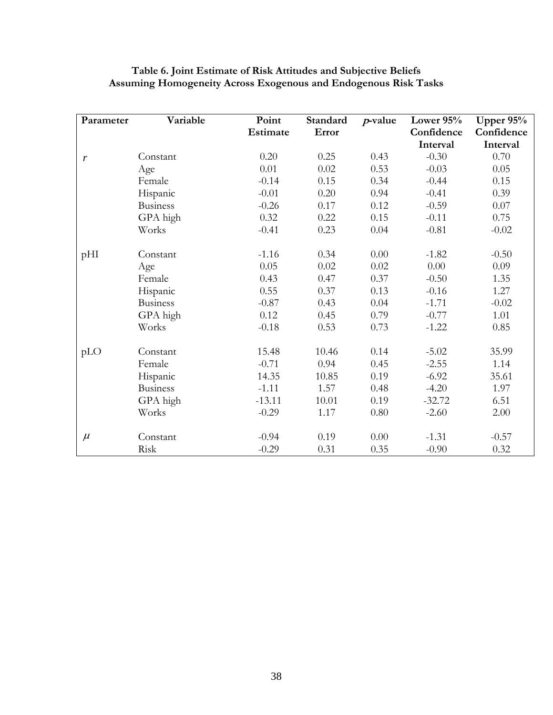| Parameter | Variable        | Point           | Standard | $p$ -value | Lower 95%  | Upper 95%  |
|-----------|-----------------|-----------------|----------|------------|------------|------------|
|           |                 | <b>Estimate</b> | Error    |            | Confidence | Confidence |
|           |                 |                 |          |            | Interval   | Interval   |
| r         | Constant        | 0.20            | 0.25     | 0.43       | $-0.30$    | 0.70       |
|           | Age             | 0.01            | 0.02     | 0.53       | $-0.03$    | 0.05       |
|           | Female          | $-0.14$         | 0.15     | 0.34       | $-0.44$    | 0.15       |
|           | Hispanic        | $-0.01$         | 0.20     | 0.94       | $-0.41$    | 0.39       |
|           | <b>Business</b> | $-0.26$         | $0.17\,$ | 0.12       | $-0.59$    | 0.07       |
|           | GPA high        | 0.32            | 0.22     | 0.15       | $-0.11$    | 0.75       |
|           | Works           | $-0.41$         | 0.23     | 0.04       | $-0.81$    | $-0.02$    |
| pHI       | Constant        | $-1.16$         | 0.34     | $0.00\,$   | $-1.82$    | $-0.50$    |
|           | Age             | 0.05            | 0.02     | 0.02       | 0.00       | 0.09       |
|           | Female          | 0.43            | 0.47     | 0.37       | $-0.50$    | 1.35       |
|           | Hispanic        | 0.55            | 0.37     | 0.13       | $-0.16$    | 1.27       |
|           | <b>Business</b> | $-0.87$         | 0.43     | 0.04       | $-1.71$    | $-0.02$    |
|           | GPA high        | 0.12            | 0.45     | 0.79       | $-0.77$    | 1.01       |
|           | Works           | $-0.18$         | 0.53     | 0.73       | $-1.22$    | 0.85       |
| pLO       | Constant        | 15.48           | 10.46    | 0.14       | $-5.02$    | 35.99      |
|           | Female          | $-0.71$         | 0.94     | 0.45       | $-2.55$    | 1.14       |
|           | Hispanic        | 14.35           | 10.85    | 0.19       | $-6.92$    | 35.61      |
|           | <b>Business</b> | $-1.11$         | 1.57     | 0.48       | $-4.20$    | 1.97       |
|           | GPA high        | $-13.11$        | 10.01    | 0.19       | $-32.72$   | 6.51       |
|           | Works           | $-0.29$         | 1.17     | $0.80\,$   | $-2.60$    | 2.00       |
| $\mu$     | Constant        | $-0.94$         | 0.19     | $0.00\,$   | $-1.31$    | $-0.57$    |
|           | Risk            | $-0.29$         | 0.31     | 0.35       | $-0.90$    | 0.32       |

## **Table 6. Joint Estimate of Risk Attitudes and Subjective Beliefs Assuming Homogeneity Across Exogenous and Endogenous Risk Tasks**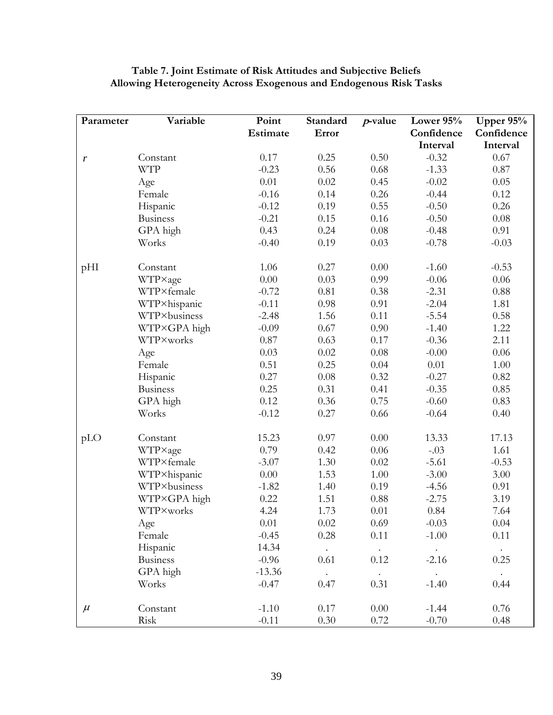| Parameter | Variable        | Point    | Standard | $p$ -value  | Lower 95%   | Upper $95%$    |
|-----------|-----------------|----------|----------|-------------|-------------|----------------|
|           |                 | Estimate | Error    |             | Confidence  | Confidence     |
|           |                 |          |          |             | Interval    | Interval       |
| r         | Constant        | 0.17     | 0.25     | 0.50        | $-0.32$     | 0.67           |
|           | <b>WTP</b>      | $-0.23$  | 0.56     | 0.68        | $-1.33$     | 0.87           |
|           | Age             | 0.01     | 0.02     | 0.45        | $-0.02$     | 0.05           |
|           | Female          | $-0.16$  | 0.14     | 0.26        | $-0.44$     | 0.12           |
|           | Hispanic        | $-0.12$  | 0.19     | 0.55        | $-0.50$     | 0.26           |
|           | <b>Business</b> | $-0.21$  | 0.15     | 0.16        | $-0.50$     | 0.08           |
|           | GPA high        | 0.43     | 0.24     | 0.08        | $-0.48$     | 0.91           |
|           | Works           | $-0.40$  | 0.19     | 0.03        | $-0.78$     | $-0.03$        |
| pHI       | Constant        | 1.06     | 0.27     | 0.00        | $-1.60$     | $-0.53$        |
|           | WTP×age         | 0.00     | 0.03     | 0.99        | $-0.06$     | 0.06           |
|           | WTP×female      | $-0.72$  | 0.81     | 0.38        | $-2.31$     | 0.88           |
|           | WTP×hispanic    | $-0.11$  | 0.98     | 0.91        | $-2.04$     | 1.81           |
|           | WTP×business    | $-2.48$  | 1.56     | 0.11        | $-5.54$     | 0.58           |
|           | WTP×GPA high    | $-0.09$  | 0.67     | 0.90        | $-1.40$     | 1.22           |
|           | WTP×works       | 0.87     | 0.63     | 0.17        | $-0.36$     | 2.11           |
|           | Age             | 0.03     | 0.02     | 0.08        | $-0.00$     | 0.06           |
|           | Female          | 0.51     | 0.25     | 0.04        | 0.01        | 1.00           |
|           | Hispanic        | 0.27     | 0.08     | 0.32        | $-0.27$     | 0.82           |
|           | <b>Business</b> | 0.25     | 0.31     | 0.41        | $-0.35$     | 0.85           |
|           | GPA high        | 0.12     | 0.36     | 0.75        | $-0.60$     | 0.83           |
|           | Works           | $-0.12$  | 0.27     | 0.66        | $-0.64$     | 0.40           |
| pLO       | Constant        | 15.23    | 0.97     | 0.00        | 13.33       | 17.13          |
|           | WTP×age         | 0.79     | 0.42     | 0.06        | $-.03$      | 1.61           |
|           | WTP×female      | $-3.07$  | 1.30     | 0.02        | $-5.61$     | $-0.53$        |
|           | WTP×hispanic    | 0.00     | 1.53     | 1.00        | $-3.00$     | 3.00           |
|           | WTP×business    | $-1.82$  | 1.40     | 0.19        | $-4.56$     | 0.91           |
|           | WTP×GPA high    | 0.22     | 1.51     | 0.88        | $-2.75$     | 3.19           |
|           | WTP×works       | 4.24     | 1.73     | 0.01        | 0.84        | 7.64           |
|           | Age             | 0.01     | 0.02     | 0.69        | $-0.03$     | 0.04           |
|           | Female          | $-0.45$  | 0.28     | 0.11        | $-1.00$     | 0.11           |
|           | Hispanic        | 14.34    | $\sim$   | $\bullet$ . | $\bullet$ . | $\sim 10^{-1}$ |
|           | <b>Business</b> | $-0.96$  | 0.61     | 0.12        | $-2.16$     | 0.25           |
|           | GPA high        | $-13.36$ | $\sim$   | $\bullet$ . | $\bullet$ . | $\sim$         |
|           | Works           | $-0.47$  | 0.47     | 0.31        | $-1.40$     | 0.44           |
| $\mu$     | Constant        | $-1.10$  | 0.17     | 0.00        | $-1.44$     | 0.76           |
|           | Risk            | $-0.11$  | 0.30     | 0.72        | $-0.70$     | 0.48           |

# **Table 7. Joint Estimate of Risk Attitudes and Subjective Beliefs Allowing Heterogeneity Across Exogenous and Endogenous Risk Tasks**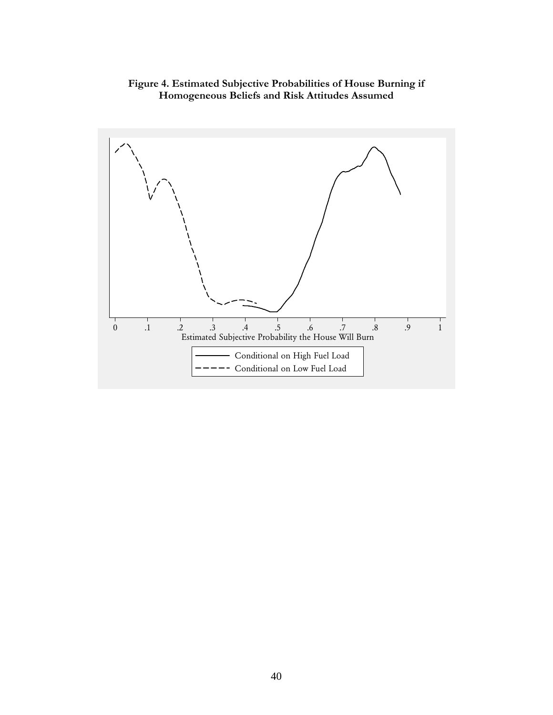# **Figure 4. Estimated Subjective Probabilities of House Burning if Homogeneous Beliefs and Risk Attitudes Assumed**

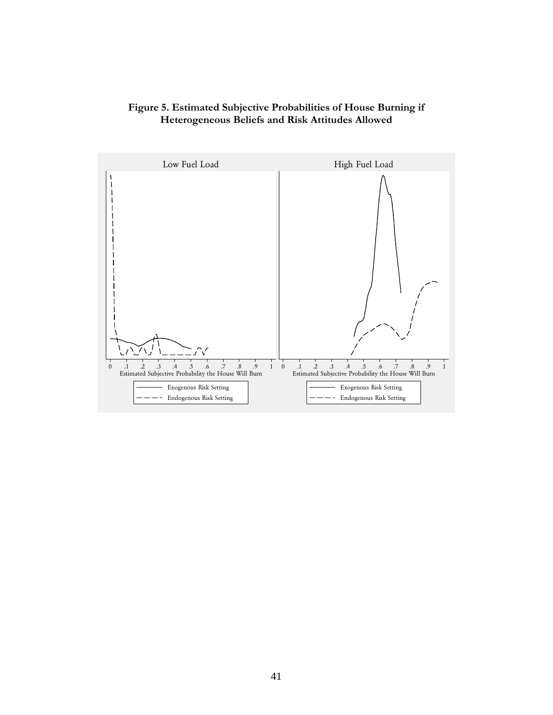## **Figure 5. Estimated Subjective Probabilities of House Burning if Heterogeneous Beliefs and Risk Attitudes Allowed**

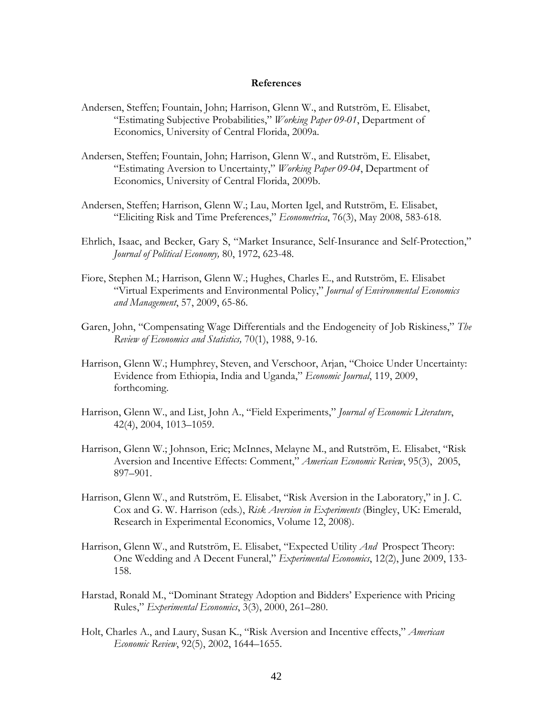### **References**

- Andersen, Steffen; Fountain, John; Harrison, Glenn W., and Rutström, E. Elisabet, "Estimating Subjective Probabilities," *Working Paper 09-01*, Department of Economics, University of Central Florida, 2009a.
- Andersen, Steffen; Fountain, John; Harrison, Glenn W., and Rutström, E. Elisabet, "Estimating Aversion to Uncertainty," *Working Paper 09-04*, Department of Economics, University of Central Florida, 2009b.
- Andersen, Steffen; Harrison, Glenn W.; Lau, Morten Igel, and Rutström, E. Elisabet, "Eliciting Risk and Time Preferences," *Econometrica*, 76(3), May 2008, 583-618.
- Ehrlich, Isaac, and Becker, Gary S, "Market Insurance, Self-Insurance and Self-Protection," *Journal of Political Economy,* 80, 1972, 623-48.
- Fiore, Stephen M.; Harrison, Glenn W.; Hughes, Charles E., and Rutström, E. Elisabet "Virtual Experiments and Environmental Policy," *Journal of Environmental Economics and Management*, 57, 2009, 65-86.
- Garen, John, "Compensating Wage Differentials and the Endogeneity of Job Riskiness," *The Review of Economics and Statistics,* 70(1), 1988, 9-16.
- Harrison, Glenn W.; Humphrey, Steven, and Verschoor, Arjan, "Choice Under Uncertainty: Evidence from Ethiopia, India and Uganda," *Economic Journal*, 119, 2009, forthcoming.
- Harrison, Glenn W., and List, John A., "Field Experiments," *Journal of Economic Literature*, 42(4), 2004, 1013–1059.
- Harrison, Glenn W.; Johnson, Eric; McInnes, Melayne M., and Rutström, E. Elisabet, "Risk Aversion and Incentive Effects: Comment," *American Economic Review*, 95(3), 2005, 897–901.
- Harrison, Glenn W., and Rutström, E. Elisabet, "Risk Aversion in the Laboratory," in J. C. Cox and G. W. Harrison (eds.), *Risk Aversion in Experiments* (Bingley, UK: Emerald, Research in Experimental Economics, Volume 12, 2008).
- Harrison, Glenn W., and Rutström, E. Elisabet, "Expected Utility *And* Prospect Theory: One Wedding and A Decent Funeral," *Experimental Economics*, 12(2), June 2009, 133- 158.
- Harstad, Ronald M., "Dominant Strategy Adoption and Bidders' Experience with Pricing Rules," *Experimental Economics*, 3(3), 2000, 261–280.
- Holt, Charles A., and Laury, Susan K., "Risk Aversion and Incentive effects," *American Economic Review*, 92(5), 2002, 1644–1655.